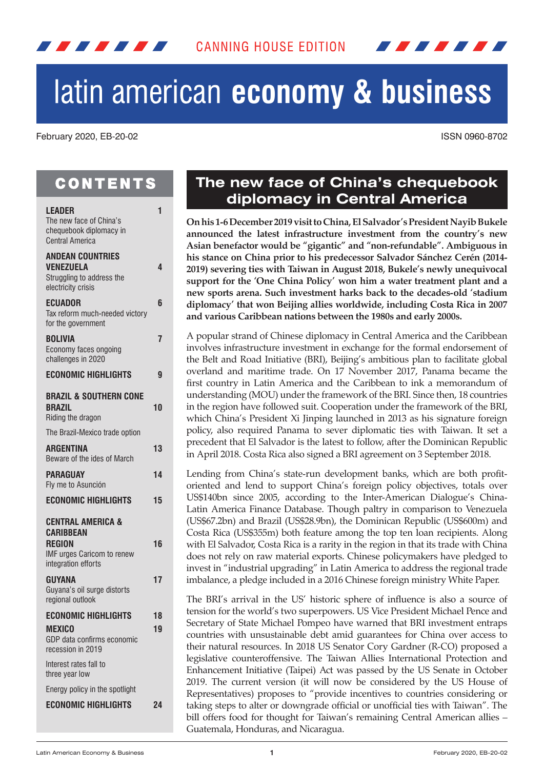

# **economy & business**

#### February 2020, EB-20-02 ISSN 0960-8702

# **CONTENTS**

| <b>LEADER</b><br>The new face of China's<br>chequebook diplomacy in<br><b>Central America</b>                                 | 1  |
|-------------------------------------------------------------------------------------------------------------------------------|----|
| ANDEAN COUNTRIES<br><b>VENEZUELA</b><br>Struggling to address the<br>electricity crisis                                       | 4  |
| <b>ECUADOR</b><br>Tax reform much-needed victory<br>for the government                                                        | 6  |
| <b>BOLIVIA</b><br>Economy faces ongoing<br>challenges in 2020                                                                 | 7  |
| <b>ECONOMIC HIGHLIGHTS</b>                                                                                                    | 9  |
| BRAZIL & SOUTHERN CONE<br><b>BRAZIL</b><br>Riding the dragon                                                                  | 10 |
| The Brazil-Mexico trade option                                                                                                |    |
| <b>ARGENTINA</b><br>Beware of the ides of March                                                                               | 13 |
| <b>PARAGUAY</b>                                                                                                               | 14 |
| Fly me to Asunción                                                                                                            |    |
| <b>ECONOMIC HIGHLIGHTS</b>                                                                                                    | 15 |
| <b>CENTRAL AMERICA &amp;</b><br><b>CARIBBEAN</b><br><b>REGION</b><br><b>IMF urges Caricom to renew</b><br>integration efforts | 16 |
| <b>GUYANA</b><br>Guyana's oil surge distorts<br>regional outlook                                                              | 17 |
| ECONOMIC HIGHLIGHTS                                                                                                           | 18 |
| <b>MEXICO</b><br>GDP data confirms economic<br>recession in 2019                                                              | 19 |
| Interest rates fall to<br>three year low                                                                                      |    |
| Energy policy in the spotlight                                                                                                |    |
| <b>ECONOMIC HIGHLIGHTS</b>                                                                                                    | 24 |

## **The new face of China's chequebook diplomacy in Central America**

**On his 1-6 December 2019 visit to China, El Salvador's President Nayib Bukele announced the latest infrastructure investment from the country's new Asian benefactor would be "gigantic" and "non-refundable". Ambiguous in his stance on China prior to his predecessor Salvador Sánchez Cerén (2014- 2019) severing ties with Taiwan in August 2018, Bukele's newly unequivocal support for the 'One China Policy' won him a water treatment plant and a new sports arena. Such investment harks back to the decades-old 'stadium diplomacy' that won Beijing allies worldwide, including Costa Rica in 2007 and various Caribbean nations between the 1980s and early 2000s.**

A popular strand of Chinese diplomacy in Central America and the Caribbean involves infrastructure investment in exchange for the formal endorsement of the Belt and Road Initiative (BRI), Beijing's ambitious plan to facilitate global overland and maritime trade. On 17 November 2017, Panama became the first country in Latin America and the Caribbean to ink a memorandum of understanding (MOU) under the framework of the BRI. Since then, 18 countries in the region have followed suit. Cooperation under the framework of the BRI, which China's President Xi Jinping launched in 2013 as his signature foreign policy, also required Panama to sever diplomatic ties with Taiwan. It set a precedent that El Salvador is the latest to follow, after the Dominican Republic in April 2018. Costa Rica also signed a BRI agreement on 3 September 2018.

Lending from China's state-run development banks, which are both profitoriented and lend to support China's foreign policy objectives, totals over US\$140bn since 2005, according to the Inter-American Dialogue's China-Latin America Finance Database. Though paltry in comparison to Venezuela (US\$67.2bn) and Brazil (US\$28.9bn), the Dominican Republic (US\$600m) and Costa Rica (US\$355m) both feature among the top ten loan recipients. Along with El Salvador, Costa Rica is a rarity in the region in that its trade with China does not rely on raw material exports. Chinese policymakers have pledged to invest in "industrial upgrading" in Latin America to address the regional trade imbalance, a pledge included in a 2016 Chinese foreign ministry White Paper.

The BRI's arrival in the US' historic sphere of influence is also a source of tension for the world's two superpowers. US Vice President Michael Pence and Secretary of State Michael Pompeo have warned that BRI investment entraps countries with unsustainable debt amid guarantees for China over access to their natural resources. In 2018 US Senator Cory Gardner (R-CO) proposed a legislative counteroffensive. The Taiwan Allies International Protection and Enhancement Initiative (Taipei) Act was passed by the US Senate in October 2019. The current version (it will now be considered by the US House of Representatives) proposes to "provide incentives to countries considering or taking steps to alter or downgrade official or unofficial ties with Taiwan". The bill offers food for thought for Taiwan's remaining Central American allies – Guatemala, Honduras, and Nicaragua.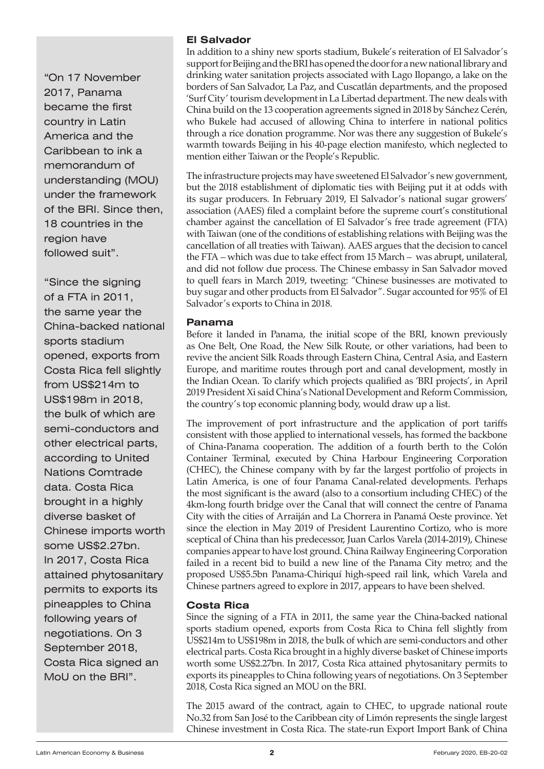"On 17 November 2017, Panama became the first country in Latin America and the Caribbean to ink a memorandum of understanding (MOU) under the framework of the BRI. Since then, 18 countries in the region have followed suit".

**Costa Rica fell slightly** from US\$214m to US\$198m in 2018, the bulk of which are "Since the signing of a FTA in 2011, the same year the China-backed national sports stadium opened, exports from semi-conductors and other electrical parts, according to United Nations Comtrade data. Costa Rica brought in a highly diverse basket of Chinese imports worth some US\$2.27bn. In 2017, Costa Rica attained phytosanitary permits to exports its pineapples to China following years of negotiations. On 3 September 2018, Costa Rica signed an MoU on the BRI".

#### **El Salvador**

In addition to a shiny new sports stadium, Bukele's reiteration of El Salvador's support for Beijing and the BRI has opened the door for a new national library and drinking water sanitation projects associated with Lago Ilopango, a lake on the borders of San Salvador, La Paz, and Cuscatlán departments, and the proposed 'Surf City' tourism development in La Libertad department. The new deals with China build on the 13 cooperation agreements signed in 2018 by Sánchez Cerén, who Bukele had accused of allowing China to interfere in national politics through a rice donation programme. Nor was there any suggestion of Bukele's warmth towards Beijing in his 40-page election manifesto, which neglected to mention either Taiwan or the People's Republic.

The infrastructure projects may have sweetened El Salvador's new government, but the 2018 establishment of diplomatic ties with Beijing put it at odds with its sugar producers. In February 2019, El Salvador's national sugar growers' association (AAES) filed a complaint before the supreme court's constitutional chamber against the cancellation of El Salvador's free trade agreement (FTA) with Taiwan (one of the conditions of establishing relations with Beijing was the cancellation of all treaties with Taiwan). AAES argues that the decision to cancel the FTA – which was due to take effect from 15 March – was abrupt, unilateral, and did not follow due process. The Chinese embassy in San Salvador moved to quell fears in March 2019, tweeting: "Chinese businesses are motivated to buy sugar and other products from El Salvador". Sugar accounted for 95% of El Salvador's exports to China in 2018.

#### **Panama**

Before it landed in Panama, the initial scope of the BRI, known previously as One Belt, One Road, the New Silk Route, or other variations, had been to revive the ancient Silk Roads through Eastern China, Central Asia, and Eastern Europe, and maritime routes through port and canal development, mostly in the Indian Ocean. To clarify which projects qualified as 'BRI projects', in April 2019 President Xi said China's National Development and Reform Commission, the country's top economic planning body, would draw up a list.

The improvement of port infrastructure and the application of port tariffs consistent with those applied to international vessels, has formed the backbone of China-Panama cooperation. The addition of a fourth berth to the Colón Container Terminal, executed by China Harbour Engineering Corporation (CHEC), the Chinese company with by far the largest portfolio of projects in Latin America, is one of four Panama Canal-related developments. Perhaps the most significant is the award (also to a consortium including CHEC) of the 4km-long fourth bridge over the Canal that will connect the centre of Panama City with the cities of Arraiján and La Chorrera in Panamá Oeste province. Yet since the election in May 2019 of President Laurentino Cortizo, who is more sceptical of China than his predecessor, Juan Carlos Varela (2014-2019), Chinese companies appear to have lost ground. China Railway Engineering Corporation failed in a recent bid to build a new line of the Panama City metro; and the proposed US\$5.5bn Panama-Chiriquí high-speed rail link, which Varela and Chinese partners agreed to explore in 2017, appears to have been shelved.

## **Costa Rica**

Since the signing of a FTA in 2011, the same year the China-backed national sports stadium opened, exports from Costa Rica to China fell slightly from US\$214m to US\$198m in 2018, the bulk of which are semi-conductors and other electrical parts. Costa Rica brought in a highly diverse basket of Chinese imports worth some US\$2.27bn. In 2017, Costa Rica attained phytosanitary permits to exports its pineapples to China following years of negotiations. On 3 September 2018, Costa Rica signed an MOU on the BRI.

The 2015 award of the contract, again to CHEC, to upgrade national route No.32 from San José to the Caribbean city of Limón represents the single largest Chinese investment in Costa Rica. The state-run Export Import Bank of China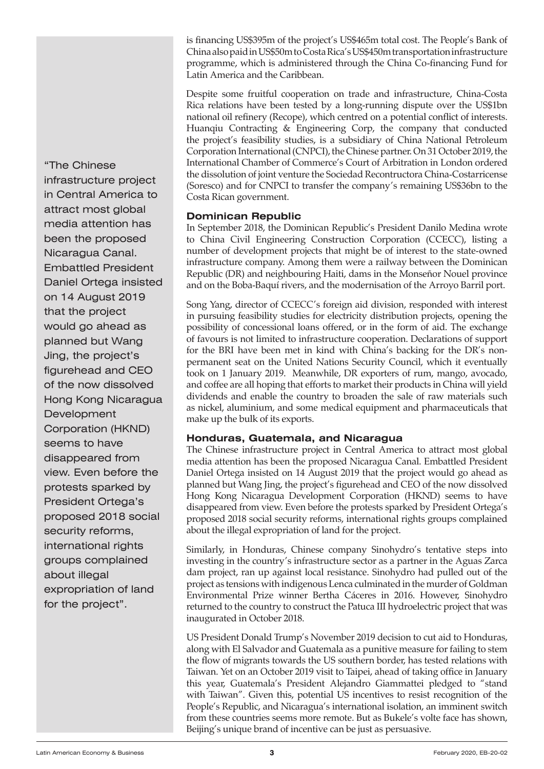is financing US\$395m of the project's US\$465m total cost. The People's Bank of China also paid in US\$50m to Costa Rica's US\$450m transportation infrastructure programme, which is administered through the China Co-financing Fund for Latin America and the Caribbean.

Despite some fruitful cooperation on trade and infrastructure, China-Costa Rica relations have been tested by a long-running dispute over the US\$1bn national oil refinery (Recope), which centred on a potential conflict of interests. Huanqiu Contracting & Engineering Corp, the company that conducted the project's feasibility studies, is a subsidiary of China National Petroleum Corporation International (CNPCI), the Chinese partner. On 31 October 2019, the International Chamber of Commerce's Court of Arbitration in London ordered the dissolution of joint venture the Sociedad Recontructora China-Costarricense (Soresco) and for CNPCI to transfer the company's remaining US\$36bn to the Costa Rican government.

## **Dominican Republic**

In September 2018, the Dominican Republic's President Danilo Medina wrote to China Civil Engineering Construction Corporation (CCECC), listing a number of development projects that might be of interest to the state-owned infrastructure company. Among them were a railway between the Dominican Republic (DR) and neighbouring Haiti, dams in the Monseñor Nouel province and on the Boba-Baquí rivers, and the modernisation of the Arroyo Barril port.

Song Yang, director of CCECC's foreign aid division, responded with interest in pursuing feasibility studies for electricity distribution projects, opening the possibility of concessional loans offered, or in the form of aid. The exchange of favours is not limited to infrastructure cooperation. Declarations of support for the BRI have been met in kind with China's backing for the DR's nonpermanent seat on the United Nations Security Council, which it eventually took on 1 January 2019. Meanwhile, DR exporters of rum, mango, avocado, and coffee are all hoping that efforts to market their products in China will yield dividends and enable the country to broaden the sale of raw materials such as nickel, aluminium, and some medical equipment and pharmaceuticals that make up the bulk of its exports.

## **Honduras, Guatemala, and Nicaragua**

The Chinese infrastructure project in Central America to attract most global media attention has been the proposed Nicaragua Canal. Embattled President Daniel Ortega insisted on 14 August 2019 that the project would go ahead as planned but Wang Jing, the project's figurehead and CEO of the now dissolved Hong Kong Nicaragua Development Corporation (HKND) seems to have disappeared from view. Even before the protests sparked by President Ortega's proposed 2018 social security reforms, international rights groups complained about the illegal expropriation of land for the project.

Similarly, in Honduras, Chinese company Sinohydro's tentative steps into investing in the country's infrastructure sector as a partner in the Aguas Zarca dam project, ran up against local resistance. Sinohydro had pulled out of the project as tensions with indigenous Lenca culminated in the murder of Goldman Environmental Prize winner Bertha Cáceres in 2016. However, Sinohydro returned to the country to construct the Patuca III hydroelectric project that was inaugurated in October 2018.

US President Donald Trump's November 2019 decision to cut aid to Honduras, along with El Salvador and Guatemala as a punitive measure for failing to stem the flow of migrants towards the US southern border, has tested relations with Taiwan. Yet on an October 2019 visit to Taipei, ahead of taking office in January this year, Guatemala's President Alejandro Giammattei pledged to "stand with Taiwan". Given this, potential US incentives to resist recognition of the People's Republic, and Nicaragua's international isolation, an imminent switch from these countries seems more remote. But as Bukele's volte face has shown, Beijing's unique brand of incentive can be just as persuasive.

**Mercosur** figurehead and CEO of the now dissolved Hong Kong Nicaragua Development "The Chinese infrastructure project in Central America to attract most global media attention has been the proposed Nicaragua Canal. Embattled President Daniel Ortega insisted on 14 August 2019 that the project would go ahead as planned but Wang Jing, the project's Corporation (HKND) seems to have disappeared from view. Even before the protests sparked by President Ortega's proposed 2018 social security reforms, international rights groups complained about illegal expropriation of land for the project".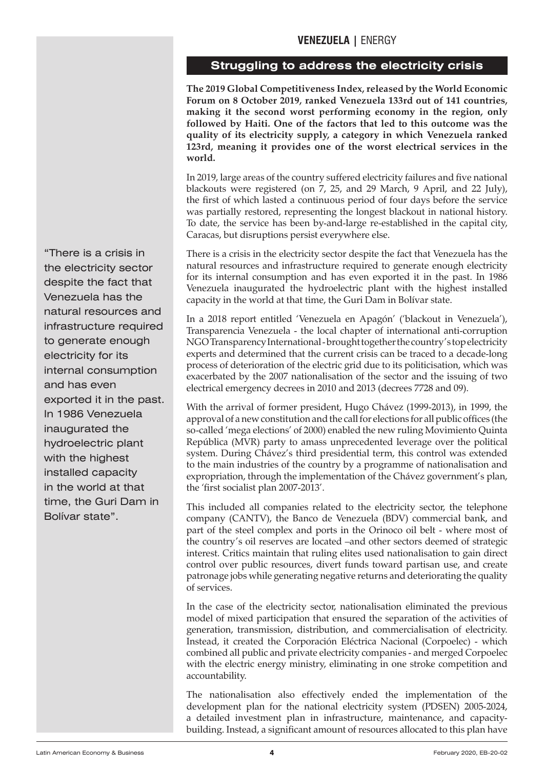## **VENEZUELA |** ENERGY

## **Struggling to address the electricity crisis**

<span id="page-3-0"></span>**The 2019 Global Competitiveness Index, released by the World Economic Forum on 8 October 2019, ranked Venezuela 133rd out of 141 countries, making it the second worst performing economy in the region, only followed by Haiti. One of the factors that led to this outcome was the quality of its electricity supply, a category in which Venezuela ranked 123rd, meaning it provides one of the worst electrical services in the world.**

In 2019, large areas of the country suffered electricity failures and five national blackouts were registered (on 7, 25, and 29 March, 9 April, and 22 July), the first of which lasted a continuous period of four days before the service was partially restored, representing the longest blackout in national history. To date, the service has been by-and-large re-established in the capital city, Caracas, but disruptions persist everywhere else.

There is a crisis in the electricity sector despite the fact that Venezuela has the natural resources and infrastructure required to generate enough electricity for its internal consumption and has even exported it in the past. In 1986 Venezuela inaugurated the hydroelectric plant with the highest installed capacity in the world at that time, the Guri Dam in Bolívar state.

In a 2018 report entitled 'Venezuela en Apagón' ('blackout in Venezuela'), Transparencia Venezuela - the local chapter of international anti-corruption NGO Transparency International - brought together the country's top electricity experts and determined that the current crisis can be traced to a decade-long process of deterioration of the electric grid due to its politicisation, which was exacerbated by the 2007 nationalisation of the sector and the issuing of two electrical emergency decrees in 2010 and 2013 (decrees 7728 and 09).

With the arrival of former president, Hugo Chávez (1999-2013), in 1999, the approval of a new constitution and the call for elections for all public offices (the so-called 'mega elections' of 2000) enabled the new ruling Movimiento Quinta República (MVR) party to amass unprecedented leverage over the political system. During Chávez's third presidential term, this control was extended to the main industries of the country by a programme of nationalisation and expropriation, through the implementation of the Chávez government's plan, the 'first socialist plan 2007-2013'.

This included all companies related to the electricity sector, the telephone company (CANTV), the Banco de Venezuela (BDV) commercial bank, and part of the steel complex and ports in the Orinoco oil belt - where most of the country's oil reserves are located –and other sectors deemed of strategic interest. Critics maintain that ruling elites used nationalisation to gain direct control over public resources, divert funds toward partisan use, and create patronage jobs while generating negative returns and deteriorating the quality of services.

In the case of the electricity sector, nationalisation eliminated the previous model of mixed participation that ensured the separation of the activities of generation, transmission, distribution, and commercialisation of electricity. Instead, it created the Corporación Eléctrica Nacional (Corpoelec) - which combined all public and private electricity companies - and merged Corpoelec with the electric energy ministry, eliminating in one stroke competition and accountability.

The nationalisation also effectively ended the implementation of the development plan for the national electricity system (PDSEN) 2005-2024, a detailed investment plan in infrastructure, maintenance, and capacitybuilding. Instead, a significant amount of resources allocated to this plan have

**Internal consumption** and has even exported it in the past. In 1986 Venezuela "There is a crisis in the electricity sector despite the fact that Venezuela has the natural resources and infrastructure required to generate enough electricity for its inaugurated the hydroelectric plant with the highest installed capacity in the world at that time, the Guri Dam in Bolívar state".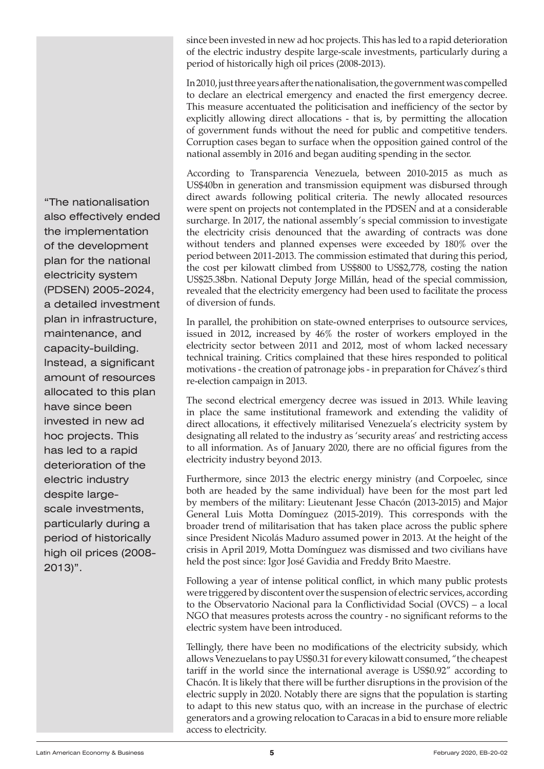since been invested in new ad hoc projects. This has led to a rapid deterioration of the electric industry despite large-scale investments, particularly during a period of historically high oil prices (2008-2013).

In 2010, just three years after the nationalisation, the government was compelled to declare an electrical emergency and enacted the first emergency decree. This measure accentuated the politicisation and inefficiency of the sector by explicitly allowing direct allocations - that is, by permitting the allocation of government funds without the need for public and competitive tenders. Corruption cases began to surface when the opposition gained control of the national assembly in 2016 and began auditing spending in the sector.

According to Transparencia Venezuela, between 2010-2015 as much as US\$40bn in generation and transmission equipment was disbursed through direct awards following political criteria. The newly allocated resources were spent on projects not contemplated in the PDSEN and at a considerable surcharge. In 2017, the national assembly's special commission to investigate the electricity crisis denounced that the awarding of contracts was done without tenders and planned expenses were exceeded by 180% over the period between 2011-2013. The commission estimated that during this period, the cost per kilowatt climbed from US\$800 to US\$2,778, costing the nation US\$25.38bn. National Deputy Jorge Millán, head of the special commission, revealed that the electricity emergency had been used to facilitate the process of diversion of funds.

In parallel, the prohibition on state-owned enterprises to outsource services, issued in 2012, increased by 46% the roster of workers employed in the electricity sector between 2011 and 2012, most of whom lacked necessary technical training. Critics complained that these hires responded to political motivations - the creation of patronage jobs - in preparation for Chávez's third re-election campaign in 2013.

The second electrical emergency decree was issued in 2013. While leaving in place the same institutional framework and extending the validity of direct allocations, it effectively militarised Venezuela's electricity system by designating all related to the industry as 'security areas' and restricting access to all information. As of January 2020, there are no official figures from the electricity industry beyond 2013.

Furthermore, since 2013 the electric energy ministry (and Corpoelec, since both are headed by the same individual) have been for the most part led by members of the military: Lieutenant Jesse Chacón (2013-2015) and Major General Luis Motta Domínguez (2015-2019). This corresponds with the broader trend of militarisation that has taken place across the public sphere since President Nicolás Maduro assumed power in 2013. At the height of the crisis in April 2019, Motta Domínguez was dismissed and two civilians have held the post since: Igor José Gavidia and Freddy Brito Maestre.

Following a year of intense political conflict, in which many public protests were triggered by discontent over the suspension of electric services, according to the Observatorio Nacional para la Conflictividad Social (OVCS) – a local NGO that measures protests across the country - no significant reforms to the electric system have been introduced.

Tellingly, there have been no modifications of the electricity subsidy, which allows Venezuelans to pay US\$0.31 for every kilowatt consumed, "the cheapest tariff in the world since the international average is US\$0.92" according to Chacón. It is likely that there will be further disruptions in the provision of the electric supply in 2020. Notably there are signs that the population is starting to adapt to this new status quo, with an increase in the purchase of electric generators and a growing relocation to Caracas in a bid to ensure more reliable access to electricity.

**Mercosur** Instead, a significant amount of resources allocated to this plan<br>. have since been<br>. "The nationalisation also effectively ended the implementation of the development plan for the national electricity system (PDSEN) 2005-2024, a detailed investment plan in infrastructure, maintenance, and capacity-building. invested in new ad hoc projects. This has led to a rapid deterioration of the electric industry despite largescale investments, particularly during a period of historically high oil prices (2008- 2013)".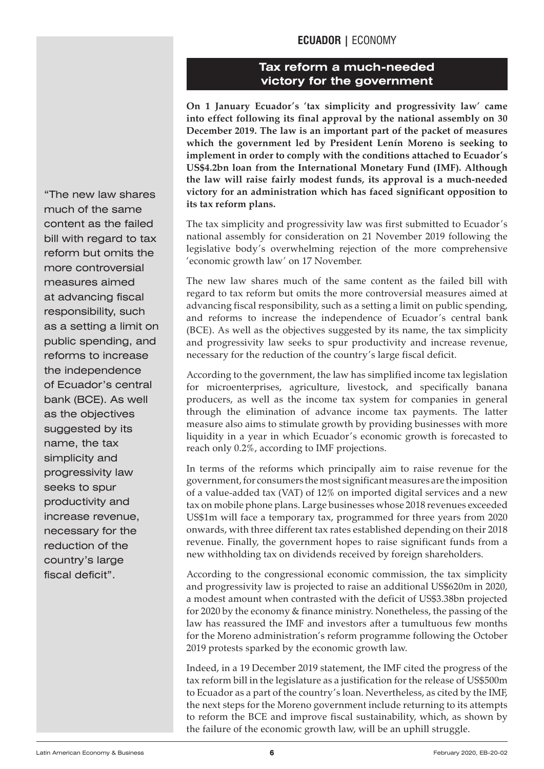## **ECUADOR |** ECONOMY

## **Tax reform a much-needed victory for the government**

**On 1 January Ecuador's 'tax simplicity and progressivity law' came into effect following its final approval by the national assembly on 30 December 2019. The law is an important part of the packet of measures which the government led by President Lenín Moreno is seeking to implement in order to comply with the conditions attached to Ecuador's US\$4.2bn loan from the International Monetary Fund (IMF). Although the law will raise fairly modest funds, its approval is a much-needed victory for an administration which has faced significant opposition to its tax reform plans.** 

The tax simplicity and progressivity law was first submitted to Ecuador's national assembly for consideration on 21 November 2019 following the legislative body's overwhelming rejection of the more comprehensive 'economic growth law' on 17 November.

The new law shares much of the same content as the failed bill with regard to tax reform but omits the more controversial measures aimed at advancing fiscal responsibility, such as a setting a limit on public spending, and reforms to increase the independence of Ecuador's central bank (BCE). As well as the objectives suggested by its name, the tax simplicity and progressivity law seeks to spur productivity and increase revenue, necessary for the reduction of the country's large fiscal deficit.

According to the government, the law has simplified income tax legislation for microenterprises, agriculture, livestock, and specifically banana producers, as well as the income tax system for companies in general through the elimination of advance income tax payments. The latter measure also aims to stimulate growth by providing businesses with more liquidity in a year in which Ecuador's economic growth is forecasted to reach only 0.2%, according to IMF projections.

In terms of the reforms which principally aim to raise revenue for the government, for consumers the most significant measures are the imposition of a value-added tax (VAT) of 12% on imported digital services and a new tax on mobile phone plans. Large businesses whose 2018 revenues exceeded US\$1m will face a temporary tax, programmed for three years from 2020 onwards, with three different tax rates established depending on their 2018 revenue. Finally, the government hopes to raise significant funds from a new withholding tax on dividends received by foreign shareholders.

According to the congressional economic commission, the tax simplicity and progressivity law is projected to raise an additional US\$620m in 2020, a modest amount when contrasted with the deficit of US\$3.38bn projected for 2020 by the economy & finance ministry. Nonetheless, the passing of the law has reassured the IMF and investors after a tumultuous few months for the Moreno administration's reform programme following the October 2019 protests sparked by the economic growth law.

Indeed, in a 19 December 2019 statement, the IMF cited the progress of the tax reform bill in the legislature as a justification for the release of US\$500m to Ecuador as a part of the country's loan. Nevertheless, as cited by the IMF, the next steps for the Moreno government include returning to its attempts to reform the BCE and improve fiscal sustainability, which, as shown by the failure of the economic growth law, will be an uphill struggle.

<span id="page-5-0"></span>**Mercosur** the independence of Ecuador's central bank (BCE). As well as the objectives "The new law shares much of the same content as the failed bill with regard to tax reform but omits the more controversial measures aimed at advancing fiscal responsibility, such as a setting a limit on public spending, and reforms to increase suggested by its name, the tax simplicity and progressivity law seeks to spur productivity and increase revenue, necessary for the reduction of the country's large fiscal deficit".

**6**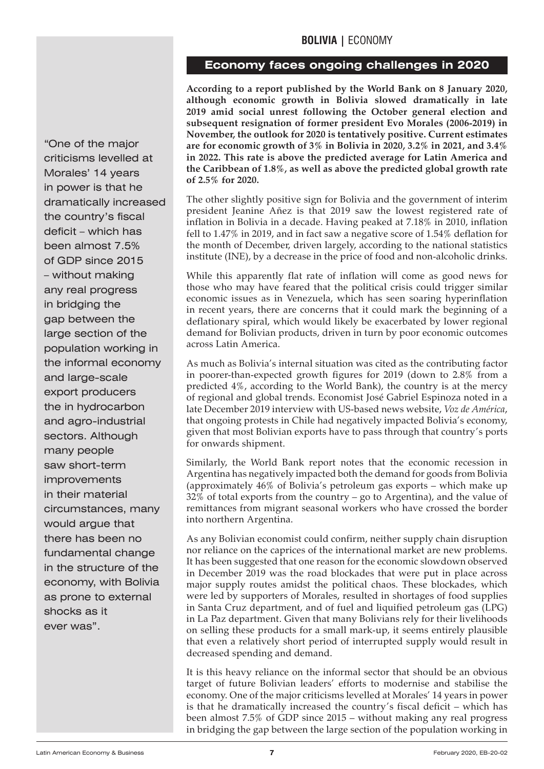## **BOLIVIA |** ECONOMY

## **Economy faces ongoing challenges in 2020**

**According to a report published by the World Bank on 8 January 2020, although economic growth in Bolivia slowed dramatically in late 2019 amid social unrest following the October general election and subsequent resignation of former president Evo Morales (2006-2019) in November, the outlook for 2020 is tentatively positive. Current estimates are for economic growth of 3% in Bolivia in 2020, 3.2% in 2021, and 3.4% in 2022. This rate is above the predicted average for Latin America and the Caribbean of 1.8%, as well as above the predicted global growth rate of 2.5% for 2020.**

The other slightly positive sign for Bolivia and the government of interim president Jeanine Añez is that 2019 saw the lowest registered rate of inflation in Bolivia in a decade. Having peaked at 7.18% in 2010, inflation fell to 1.47% in 2019, and in fact saw a negative score of 1.54% deflation for the month of December, driven largely, according to the national statistics institute (INE), by a decrease in the price of food and non-alcoholic drinks.

While this apparently flat rate of inflation will come as good news for those who may have feared that the political crisis could trigger similar economic issues as in Venezuela, which has seen soaring hyperinflation in recent years, there are concerns that it could mark the beginning of a deflationary spiral, which would likely be exacerbated by lower regional demand for Bolivian products, driven in turn by poor economic outcomes across Latin America.

As much as Bolivia's internal situation was cited as the contributing factor in poorer-than-expected growth figures for 2019 (down to 2.8% from a predicted 4%, according to the World Bank), the country is at the mercy of regional and global trends. Economist José Gabriel Espinoza noted in a late December 2019 interview with US-based news website, *Voz de América*, that ongoing protests in Chile had negatively impacted Bolivia's economy, given that most Bolivian exports have to pass through that country's ports for onwards shipment.

Similarly, the World Bank report notes that the economic recession in Argentina has negatively impacted both the demand for goods from Bolivia (approximately 46% of Bolivia's petroleum gas exports – which make up 32% of total exports from the country – go to Argentina), and the value of remittances from migrant seasonal workers who have crossed the border into northern Argentina.

As any Bolivian economist could confirm, neither supply chain disruption nor reliance on the caprices of the international market are new problems. It has been suggested that one reason for the economic slowdown observed in December 2019 was the road blockades that were put in place across major supply routes amidst the political chaos. These blockades, which were led by supporters of Morales, resulted in shortages of food supplies in Santa Cruz department, and of fuel and liquified petroleum gas (LPG) in La Paz department. Given that many Bolivians rely for their livelihoods on selling these products for a small mark-up, it seems entirely plausible that even a relatively short period of interrupted supply would result in decreased spending and demand.

It is this heavy reliance on the informal sector that should be an obvious target of future Bolivian leaders' efforts to modernise and stabilise the economy. One of the major criticisms levelled at Morales' 14 years in power is that he dramatically increased the country's fiscal deficit – which has been almost 7.5% of GDP since 2015 – without making any real progress in bridging the gap between the large section of the population working in

<span id="page-6-0"></span>the informal economy and large-scale export producers<br>... the in hydrocarbon "One of the major criticisms levelled at Morales' 14 years in power is that he dramatically increased the country's fiscal deficit – which has been almost 7.5% of GDP since 2015 – without making any real progress in bridging the gap between the large section of the population working in and agro-industrial sectors. Although many people saw short-term improvements in their material circumstances, many would argue that there has been no fundamental change in the structure of the economy, with Bolivia as prone to external shocks as it ever was".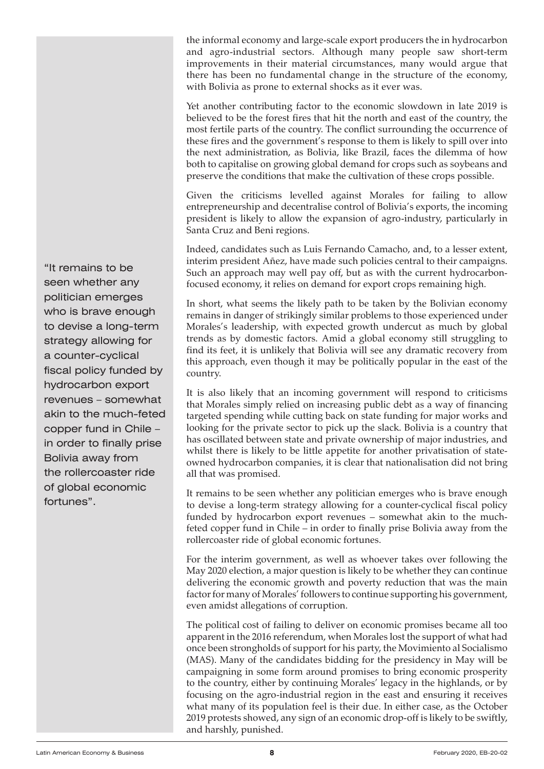the informal economy and large-scale export producers the in hydrocarbon and agro-industrial sectors. Although many people saw short-term improvements in their material circumstances, many would argue that there has been no fundamental change in the structure of the economy, with Bolivia as prone to external shocks as it ever was.

Yet another contributing factor to the economic slowdown in late 2019 is believed to be the forest fires that hit the north and east of the country, the most fertile parts of the country. The conflict surrounding the occurrence of these fires and the government's response to them is likely to spill over into the next administration, as Bolivia, like Brazil, faces the dilemma of how both to capitalise on growing global demand for crops such as soybeans and preserve the conditions that make the cultivation of these crops possible.

Given the criticisms levelled against Morales for failing to allow entrepreneurship and decentralise control of Bolivia's exports, the incoming president is likely to allow the expansion of agro-industry, particularly in Santa Cruz and Beni regions.

Indeed, candidates such as Luis Fernando Camacho, and, to a lesser extent, interim president Añez, have made such policies central to their campaigns. Such an approach may well pay off, but as with the current hydrocarbonfocused economy, it relies on demand for export crops remaining high.

In short, what seems the likely path to be taken by the Bolivian economy remains in danger of strikingly similar problems to those experienced under Morales's leadership, with expected growth undercut as much by global trends as by domestic factors. Amid a global economy still struggling to find its feet, it is unlikely that Bolivia will see any dramatic recovery from this approach, even though it may be politically popular in the east of the country.

It is also likely that an incoming government will respond to criticisms that Morales simply relied on increasing public debt as a way of financing targeted spending while cutting back on state funding for major works and looking for the private sector to pick up the slack. Bolivia is a country that has oscillated between state and private ownership of major industries, and whilst there is likely to be little appetite for another privatisation of stateowned hydrocarbon companies, it is clear that nationalisation did not bring all that was promised.

It remains to be seen whether any politician emerges who is brave enough to devise a long-term strategy allowing for a counter-cyclical fiscal policy funded by hydrocarbon export revenues – somewhat akin to the muchfeted copper fund in Chile – in order to finally prise Bolivia away from the rollercoaster ride of global economic fortunes.

For the interim government, as well as whoever takes over following the May 2020 election, a major question is likely to be whether they can continue delivering the economic growth and poverty reduction that was the main factor for many of Morales' followers to continue supporting his government, even amidst allegations of corruption.

The political cost of failing to deliver on economic promises became all too apparent in the 2016 referendum, when Morales lost the support of what had once been strongholds of support for his party, the Movimiento al Socialismo (MAS). Many of the candidates bidding for the presidency in May will be campaigning in some form around promises to bring economic prosperity to the country, either by continuing Morales' legacy in the highlands, or by focusing on the agro-industrial region in the east and ensuring it receives what many of its population feel is their due. In either case, as the October 2019 protests showed, any sign of an economic drop-off is likely to be swiftly, and harshly, punished.

**Mercosur** fiscal policy funded by hydrocarbon export revenues – somewhat akin to the much-feted "It remains to be seen whether any politician emerges who is brave enough to devise a long-term strategy allowing for a counter-cyclical copper fund in Chile – in order to finally prise Bolivia away from the rollercoaster ride of global economic fortunes".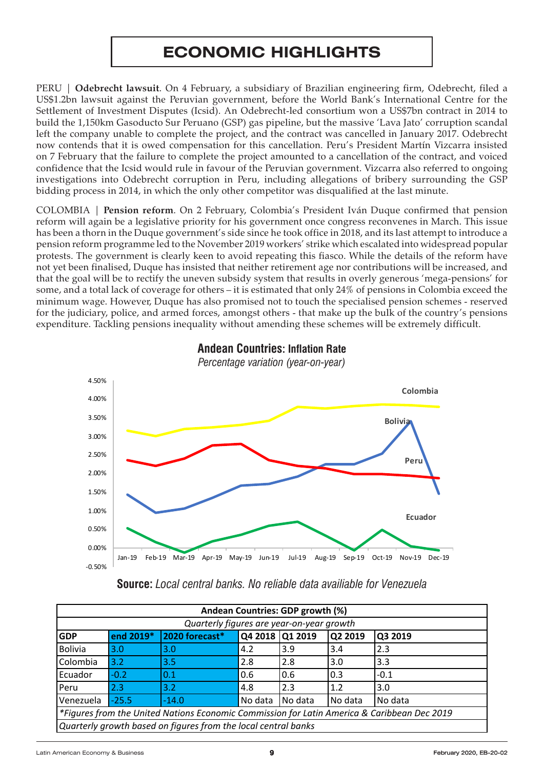# **ECONOMIC HIGHLIGHTS**

<span id="page-8-0"></span>PERU | **Odebrecht lawsuit**. On 4 February, a subsidiary of Brazilian engineering firm, Odebrecht, filed a US\$1.2bn lawsuit against the Peruvian government, before the World Bank's International Centre for the Settlement of Investment Disputes (Icsid). An Odebrecht-led consortium won a US\$7bn contract in 2014 to build the 1,150km Gasoducto Sur Peruano (GSP) gas pipeline, but the massive 'Lava Jato' corruption scandal left the company unable to complete the project, and the contract was cancelled in January 2017. Odebrecht now contends that it is owed compensation for this cancellation. Peru's President Martín Vizcarra insisted on 7 February that the failure to complete the project amounted to a cancellation of the contract, and voiced confidence that the Icsid would rule in favour of the Peruvian government. Vizcarra also referred to ongoing investigations into Odebrecht corruption in Peru, including allegations of bribery surrounding the GSP bidding process in 2014, in which the only other competitor was disqualified at the last minute.

COLOMBIA | **Pension reform**. On 2 February, Colombia's President Iván Duque confirmed that pension reform will again be a legislative priority for his government once congress reconvenes in March. This issue has been a thorn in the Duque government's side since he took office in 2018, and its last attempt to introduce a pension reform programme led to the November 2019 workers' strike which escalated into widespread popular protests. The government is clearly keen to avoid repeating this fiasco. While the details of the reform have not yet been finalised, Duque has insisted that neither retirement age nor contributions will be increased, and that the goal will be to rectify the uneven subsidy system that results in overly generous 'mega-pensions' for some, and a total lack of coverage for others – it is estimated that only 24% of pensions in Colombia exceed the minimum wage. However, Duque has also promised not to touch the specialised pension schemes - reserved for the judiciary, police, and armed forces, amongst others - that make up the bulk of the country's pensions expenditure. Tackling pensions inequality without amending these schemes will be extremely difficult.



#### Andean Countires: Inflation **Andean Countries: Inflation rate** Monthly year-on-year figures *Percentage variation (year-on-year) Percentage variation (year-on-year)***Andean Countries: Inflation Rate**

**Source:** *Local central banks. No reliable data availiable for Venezuela*

| Quarterly figures are year-on-year growth |           |                                                                |                 |         |         |                                                                                             |
|-------------------------------------------|-----------|----------------------------------------------------------------|-----------------|---------|---------|---------------------------------------------------------------------------------------------|
| <b>GDP</b>                                | end 2019* | 2020 forecast*                                                 | Q4 2018 Q1 2019 |         | Q2 2019 | Q3 2019                                                                                     |
| <b>Bolivia</b>                            | 3.0       | 3.0                                                            | 4.2             | 3.9     | 3.4     | 2.3                                                                                         |
| Colombia                                  | 3.2       | 3.5                                                            | 2.8             | 2.8     | 3.0     | 3.3                                                                                         |
| Ecuador                                   | $-0.2$    | 0.1                                                            | 0.6             | 0.6     | 0.3     | $-0.1$                                                                                      |
| Peru                                      | 2.3       | 3.2                                                            | 4.8             | 2.3     | 1.2     | 3.0                                                                                         |
| Venezuela                                 | $-25.5$   | $-14.0$                                                        | No data         | No data | No data | No data                                                                                     |
|                                           |           |                                                                |                 |         |         | *Figures from the United Nations Economic Commission for Latin America & Caribbean Dec 2019 |
|                                           |           | Quarterly growth based on figures from the local central banks |                 |         |         |                                                                                             |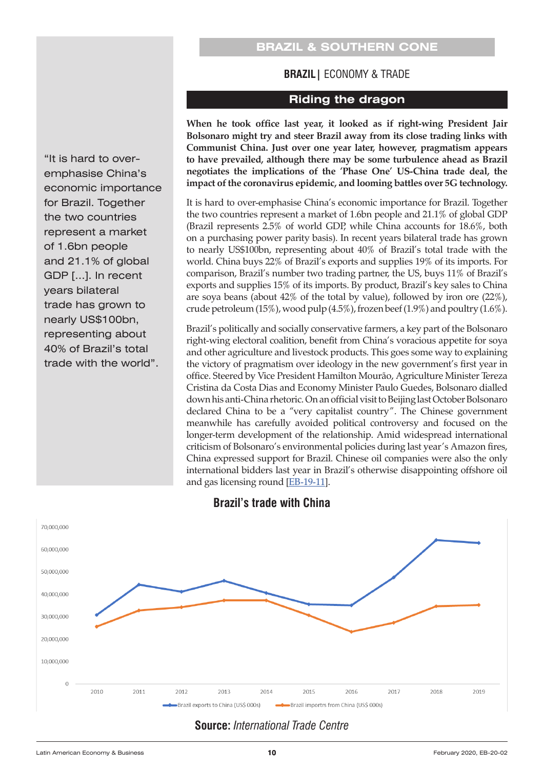## **BRAZIL & SOUTHERN CONE**

#### **BRAZIL|** ECONOMY & TRADE

#### **Riding the dragon**

**When he took office last year, it looked as if right-wing President Jair Bolsonaro might try and steer Brazil away from its close trading links with Communist China. Just over one year later, however, pragmatism appears to have prevailed, although there may be some turbulence ahead as Brazil negotiates the implications of the 'Phase One' US-China trade deal, the impact of the coronavirus epidemic, and looming battles over 5G technology.**

It is hard to over-emphasise China's economic importance for Brazil. Together the two countries represent a market of 1.6bn people and 21.1% of global GDP (Brazil represents 2.5% of world GDP, while China accounts for 18.6%, both on a purchasing power parity basis). In recent years bilateral trade has grown to nearly US\$100bn, representing about 40% of Brazil's total trade with the world. China buys 22% of Brazil's exports and supplies 19% of its imports. For comparison, Brazil's number two trading partner, the US, buys 11% of Brazil's exports and supplies 15% of its imports. By product, Brazil's key sales to China are soya beans (about 42% of the total by value), followed by iron ore (22%), crude petroleum (15%), wood pulp (4.5%), frozen beef (1.9%) and poultry (1.6%).

Brazil's politically and socially conservative farmers, a key part of the Bolsonaro right-wing electoral coalition, benefit from China's voracious appetite for soya and other agriculture and livestock products. This goes some way to explaining the victory of pragmatism over ideology in the new government's first year in office. Steered by Vice President Hamilton Mourão, Agriculture Minister Tereza Cristina da Costa Dias and Economy Minister Paulo Guedes, Bolsonaro dialled down his anti-China rhetoric. On an official visit to Beijing last October Bolsonaro declared China to be a "very capitalist country". The Chinese government meanwhile has carefully avoided political controversy and focused on the longer-term development of the relationship. Amid widespread international criticism of Bolsonaro's environmental policies during last year's Amazon fires, China expressed support for Brazil. Chinese oil companies were also the only international bidders last year in Brazil's otherwise disappointing offshore oil and gas licensing round [\[EB-19-11\]](https://www.latinnews.com/component/k2/item/82195.html?archive=25&Itemid=6&cat_id=819947:oil-gas-brazil-s-big-auction).



#### **Brazil's trade with China**

## **Source:** *International Trade Centre*

<span id="page-9-0"></span>"It is hard to overemphasise China's economic importance for Brazil. Together the two countries represent a market of 1.6bn people and 21.1% of global GDP […]. In recent years bilateral trade has grown to nearly US\$100bn, representing about 40% of Brazil's total trade with the world".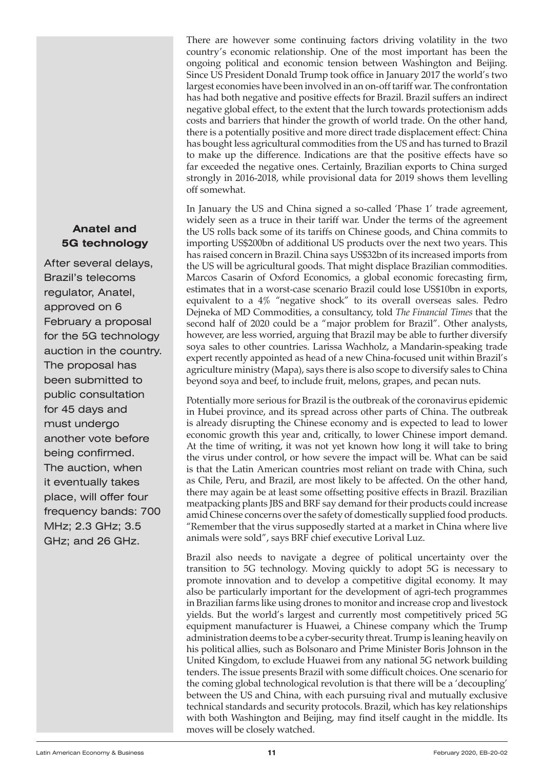## **Anatel and 5G technology**

The proposal has been submitted to **bran** public consultation for 45 days and After several delays, Brazil's telecoms regulator, Anatel, approved on 6 February a proposal for the 5G technology auction in the country. must undergo another vote before being confirmed. The auction, when it eventually takes place, will offer four frequency bands: 700 MHz; 2.3 GHz; 3.5 GHz; and 26 GHz.

There are however some continuing factors driving volatility in the two country's economic relationship. One of the most important has been the ongoing political and economic tension between Washington and Beijing. Since US President Donald Trump took office in January 2017 the world's two largest economies have been involved in an on-off tariff war. The confrontation has had both negative and positive effects for Brazil. Brazil suffers an indirect negative global effect, to the extent that the lurch towards protectionism adds costs and barriers that hinder the growth of world trade. On the other hand, there is a potentially positive and more direct trade displacement effect: China has bought less agricultural commodities from the US and has turned to Brazil to make up the difference. Indications are that the positive effects have so far exceeded the negative ones. Certainly, Brazilian exports to China surged strongly in 2016-2018, while provisional data for 2019 shows them levelling off somewhat.

In January the US and China signed a so-called 'Phase 1' trade agreement, widely seen as a truce in their tariff war. Under the terms of the agreement the US rolls back some of its tariffs on Chinese goods, and China commits to importing US\$200bn of additional US products over the next two years. This has raised concern in Brazil. China says US\$32bn of its increased imports from the US will be agricultural goods. That might displace Brazilian commodities. Marcos Casarin of Oxford Economics, a global economic forecasting firm, estimates that in a worst-case scenario Brazil could lose US\$10bn in exports, equivalent to a 4% "negative shock" to its overall overseas sales. Pedro Dejneka of MD Commodities, a consultancy, told *The Financial Times* that the second half of 2020 could be a "major problem for Brazil". Other analysts, however, are less worried, arguing that Brazil may be able to further diversify soya sales to other countries. Larissa Wachholz, a Mandarin-speaking trade expert recently appointed as head of a new China-focused unit within Brazil's agriculture ministry (Mapa), says there is also scope to diversify sales to China beyond soya and beef, to include fruit, melons, grapes, and pecan nuts.

Potentially more serious for Brazil is the outbreak of the coronavirus epidemic in Hubei province, and its spread across other parts of China. The outbreak is already disrupting the Chinese economy and is expected to lead to lower economic growth this year and, critically, to lower Chinese import demand. At the time of writing, it was not yet known how long it will take to bring the virus under control, or how severe the impact will be. What can be said is that the Latin American countries most reliant on trade with China, such as Chile, Peru, and Brazil, are most likely to be affected. On the other hand, there may again be at least some offsetting positive effects in Brazil. Brazilian meatpacking plants JBS and BRF say demand for their products could increase amid Chinese concerns over the safety of domestically supplied food products. "Remember that the virus supposedly started at a market in China where live animals were sold", says BRF chief executive Lorival Luz.

Brazil also needs to navigate a degree of political uncertainty over the transition to 5G technology. Moving quickly to adopt 5G is necessary to promote innovation and to develop a competitive digital economy. It may also be particularly important for the development of agri-tech programmes in Brazilian farms like using drones to monitor and increase crop and livestock yields. But the world's largest and currently most competitively priced 5G equipment manufacturer is Huawei, a Chinese company which the Trump administration deems to be a cyber-security threat. Trump is leaning heavily on his political allies, such as Bolsonaro and Prime Minister Boris Johnson in the United Kingdom, to exclude Huawei from any national 5G network building tenders. The issue presents Brazil with some difficult choices. One scenario for the coming global technological revolution is that there will be a 'decoupling' between the US and China, with each pursuing rival and mutually exclusive technical standards and security protocols. Brazil, which has key relationships with both Washington and Beijing, may find itself caught in the middle. Its moves will be closely watched.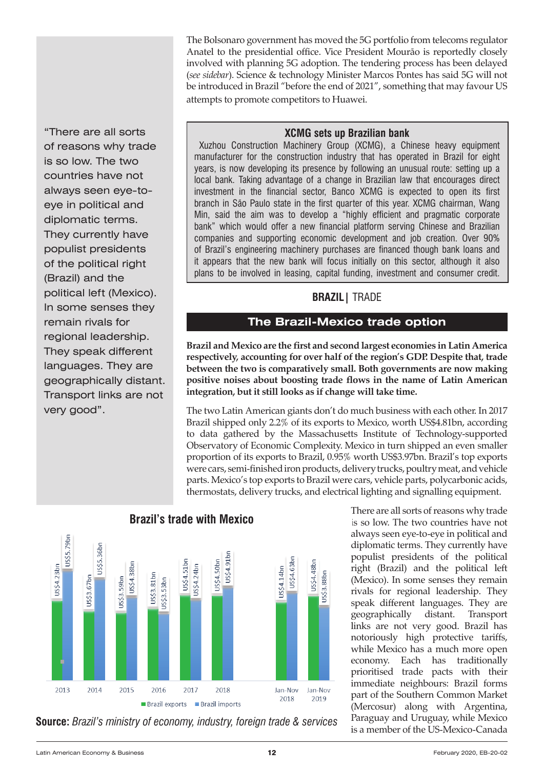The Bolsonaro government has moved the 5G portfolio from telecoms regulator Anatel to the presidential office. Vice President Mourão is reportedly closely involved with planning 5G adoption. The tendering process has been delayed (*see sidebar*). Science & technology Minister Marcos Pontes has said 5G will not be introduced in Brazil "before the end of 2021", something that may favour US attempts to promote competitors to Huawei.

"There are all sorts of reasons why trade is so low. The two countries have not always seen eye-toeye in political and diplomatic terms. They currently have populist presidents of the political right (Brazil) and the political left (Mexico). In some senses they remain rivals for regional leadership. They speak different languages. They are geographically distant. Transport links are not very good".

#### **XCMG sets up Brazilian bank**

Xuzhou Construction Machinery Group (XCMG), a Chinese heavy equipment manufacturer for the construction industry that has operated in Brazil for eight years, is now developing its presence by following an unusual route: setting up a local bank. Taking advantage of a change in Brazilian law that encourages direct investment in the financial sector, Banco XCMG is expected to open its first branch in São Paulo state in the first quarter of this year. XCMG chairman, Wang Min, said the aim was to develop a "highly efficient and pragmatic corporate bank" which would offer a new financial platform serving Chinese and Brazilian companies and supporting economic development and job creation. Over 90% of Brazil's engineering machinery purchases are financed though bank loans and it appears that the new bank will focus initially on this sector, although it also plans to be involved in leasing, capital funding, investment and consumer credit.

## **BRAZIL|** TRADE

## **The Brazil-Mexico trade option**

**Brazil and Mexico are the first and second largest economies in Latin America respectively, accounting for over half of the region's GDP. Despite that, trade between the two is comparatively small. Both governments are now making positive noises about boosting trade flows in the name of Latin American integration, but it still looks as if change will take time.**

The two Latin American giants don't do much business with each other. In 2017 Brazil shipped only 2.2% of its exports to Mexico, worth US\$4.81bn, according to data gathered by the Massachusetts Institute of Technology-supported Observatory of Economic Complexity. Mexico in turn shipped an even smaller proportion of its exports to Brazil, 0.95% worth US\$3.97bn. Brazil's top exports were cars, semi-finished iron products, delivery trucks, poultry meat, and vehicle parts. Mexico's top exports to Brazil were cars, vehicle parts, polycarbonic acids, thermostats, delivery trucks, and electrical lighting and signalling equipment.



## **Brazil's trade with Mexico**

**Source:** *Brazil's ministry of economy, industry, foreign trade & services*

There are all sorts of reasons why trade is so low. The two countries have not always seen eye-to-eye in political and diplomatic terms. They currently have populist presidents of the political right (Brazil) and the political left (Mexico). In some senses they remain rivals for regional leadership. They speak different languages. They are geographically distant. Transport links are not very good. Brazil has notoriously high protective tariffs, while Mexico has a much more open economy. Each has traditionally prioritised trade pacts with their immediate neighbours: Brazil forms part of the Southern Common Market (Mercosur) along with Argentina, Paraguay and Uruguay, while Mexico is a member of the US-Mexico-Canada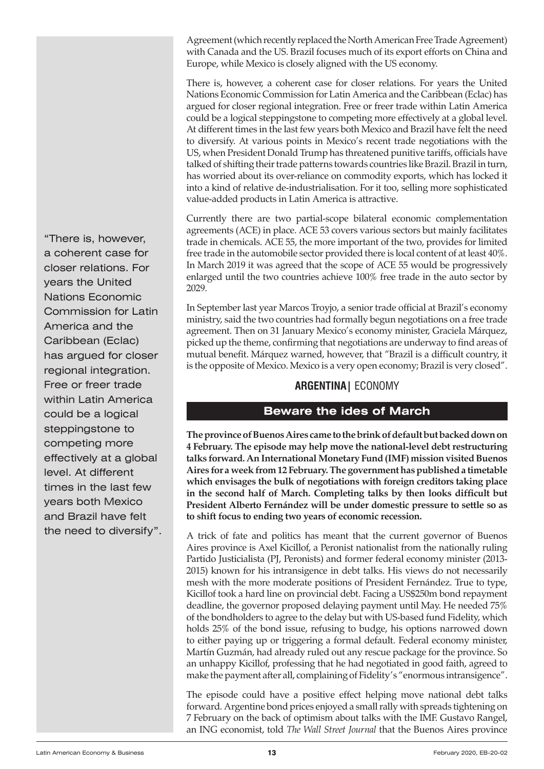<span id="page-12-0"></span>Agreement (which recently replaced the North American Free Trade Agreement) with Canada and the US. Brazil focuses much of its export efforts on China and Europe, while Mexico is closely aligned with the US economy.

There is, however, a coherent case for closer relations. For years the United Nations Economic Commission for Latin America and the Caribbean (Eclac) has argued for closer regional integration. Free or freer trade within Latin America could be a logical steppingstone to competing more effectively at a global level. At different times in the last few years both Mexico and Brazil have felt the need to diversify. At various points in Mexico's recent trade negotiations with the US, when President Donald Trump has threatened punitive tariffs, officials have talked of shifting their trade patterns towards countries like Brazil. Brazil in turn, has worried about its over-reliance on commodity exports, which has locked it into a kind of relative de-industrialisation. For it too, selling more sophisticated value-added products in Latin America is attractive.

Currently there are two partial-scope bilateral economic complementation agreements (ACE) in place. ACE 53 covers various sectors but mainly facilitates trade in chemicals. ACE 55, the more important of the two, provides for limited free trade in the automobile sector provided there is local content of at least 40%. In March 2019 it was agreed that the scope of ACE 55 would be progressively enlarged until the two countries achieve 100% free trade in the auto sector by 2029.

In September last year Marcos Troyjo, a senior trade official at Brazil's economy ministry, said the two countries had formally begun negotiations on a free trade agreement. Then on 31 January Mexico's economy minister, Graciela Márquez, picked up the theme, confirming that negotiations are underway to find areas of mutual benefit. Márquez warned, however, that "Brazil is a difficult country, it is the opposite of Mexico. Mexico is a very open economy; Brazil is very closed".

## **ARGENTINA|** ECONOMY

## **Beware the ides of March**

**The province of Buenos Aires came to the brink of default but backed down on 4 February. The episode may help move the national-level debt restructuring talks forward. An International Monetary Fund (IMF) mission visited Buenos Aires for a week from 12 February. The government has published a timetable which envisages the bulk of negotiations with foreign creditors taking place in the second half of March. Completing talks by then looks difficult but President Alberto Fernández will be under domestic pressure to settle so as to shift focus to ending two years of economic recession.**

A trick of fate and politics has meant that the current governor of Buenos Aires province is Axel Kicillof, a Peronist nationalist from the nationally ruling Partido Justicialista (PJ, Peronists) and former federal economy minister (2013- 2015) known for his intransigence in debt talks. His views do not necessarily mesh with the more moderate positions of President Fernández. True to type, Kicillof took a hard line on provincial debt. Facing a US\$250m bond repayment deadline, the governor proposed delaying payment until May. He needed 75% of the bondholders to agree to the delay but with US-based fund Fidelity, which holds 25% of the bond issue, refusing to budge, his options narrowed down to either paying up or triggering a formal default. Federal economy minister, Martín Guzmán, had already ruled out any rescue package for the province. So an unhappy Kicillof, professing that he had negotiated in good faith, agreed to make the payment after all, complaining of Fidelity's "enormous intransigence".

The episode could have a positive effect helping move national debt talks forward. Argentine bond prices enjoyed a small rally with spreads tightening on 7 February on the back of optimism about talks with the IMF. Gustavo Rangel, an ING economist, told *The Wall Street Journal* that the Buenos Aires province

were the gard and the costs<br>
regional integration. Free or freer trade within Latin America could be a logical "There is, however, a coherent case for closer relations. For years the United Nations Economic Commission for Latin America and the Caribbean (Eclac) has argued for closer steppingstone to competing more effectively at a global level. At different times in the last few years both Mexico and Brazil have felt the need to diversify".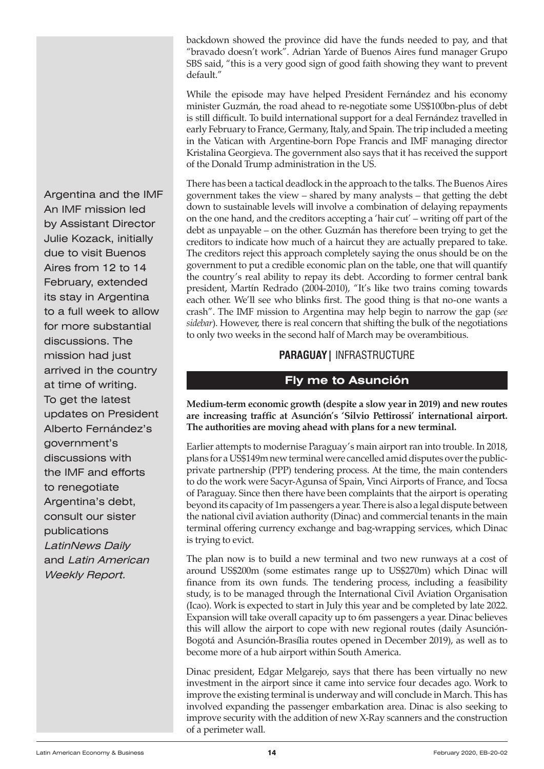<span id="page-13-0"></span>backdown showed the province did have the funds needed to pay, and that "bravado doesn't work". Adrian Yarde of Buenos Aires fund manager Grupo SBS said, "this is a very good sign of good faith showing they want to prevent default."

While the episode may have helped President Fernández and his economy minister Guzmán, the road ahead to re-negotiate some US\$100bn-plus of debt is still difficult. To build international support for a deal Fernández travelled in early February to France, Germany, Italy, and Spain. The trip included a meeting in the Vatican with Argentine-born Pope Francis and IMF managing director Kristalina Georgieva. The government also says that it has received the support of the Donald Trump administration in the US.

There has been a tactical deadlock in the approach to the talks. The Buenos Aires government takes the view – shared by many analysts – that getting the debt down to sustainable levels will involve a combination of delaying repayments on the one hand, and the creditors accepting a 'hair cut' – writing off part of the debt as unpayable – on the other. Guzmán has therefore been trying to get the creditors to indicate how much of a haircut they are actually prepared to take. The creditors reject this approach completely saying the onus should be on the government to put a credible economic plan on the table, one that will quantify the country's real ability to repay its debt. According to former central bank president, Martín Redrado (2004-2010), "It's like two trains coming towards each other. We'll see who blinks first. The good thing is that no-one wants a crash". The IMF mission to Argentina may help begin to narrow the gap (*see sidebar*). However, there is real concern that shifting the bulk of the negotiations to only two weeks in the second half of March may be overambitious.

## **PARAGUAY|** INFRASTRUCTURE

## **Fly me to Asunción**

**Medium-term economic growth (despite a slow year in 2019) and new routes are increasing traffic at Asunción's 'Silvio Pettirossi' international airport. The authorities are moving ahead with plans for a new terminal.** 

Earlier attempts to modernise Paraguay's main airport ran into trouble. In 2018, plans for a US\$149m new terminal were cancelled amid disputes over the publicprivate partnership (PPP) tendering process. At the time, the main contenders to do the work were Sacyr-Agunsa of Spain, Vinci Airports of France, and Tocsa of Paraguay. Since then there have been complaints that the airport is operating beyond its capacity of 1m passengers a year. There is also a legal dispute between the national civil aviation authority (Dinac) and commercial tenants in the main terminal offering currency exchange and bag-wrapping services, which Dinac is trying to evict.

The plan now is to build a new terminal and two new runways at a cost of around US\$200m (some estimates range up to US\$270m) which Dinac will finance from its own funds. The tendering process, including a feasibility study, is to be managed through the International Civil Aviation Organisation (Icao). Work is expected to start in July this year and be completed by late 2022. Expansion will take overall capacity up to 6m passengers a year. Dinac believes this will allow the airport to cope with new regional routes (daily Asunción-Bogotá and Asunción-Brasília routes opened in December 2019), as well as to become more of a hub airport within South America.

Dinac president, Edgar Melgarejo, says that there has been virtually no new investment in the airport since it came into service four decades ago. Work to improve the existing terminal is underway and will conclude in March. This has involved expanding the passenger embarkation area. Dinac is also seeking to improve security with the addition of new X-Ray scanners and the construction of a perimeter wall.

**Mercosur** arrived in the country at time of writing. To get the latest updates on President Argentina and the IMF An IMF mission led by Assistant Director Julie Kozack, initially due to visit Buenos Aires from 12 to 14 February, extended its stay in Argentina to a full week to allow for more substantial discussions. The mission had just Alberto Fernández's government's discussions with the IMF and efforts to renegotiate Argentina's debt, consult our sister publications LatinNews Daily and Latin American Weekly Report.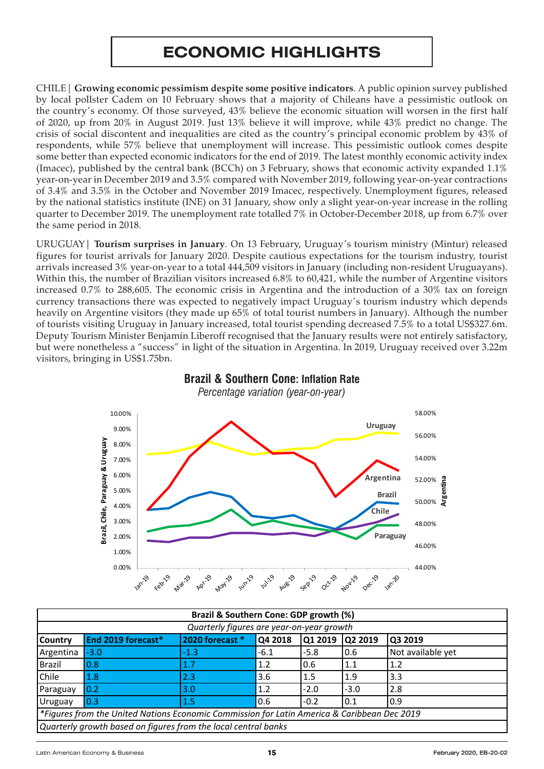# **ECONOMIC HIGHLIGHTS**

<span id="page-14-0"></span>CHILE| **Growing economic pessimism despite some positive indicators**. A public opinion survey published by local pollster Cadem on 10 February shows that a majority of Chileans have a pessimistic outlook on the country's economy. Of those surveyed, 43% believe the economic situation will worsen in the first half of 2020, up from 20% in August 2019. Just 13% believe it will improve, while 43% predict no change. The crisis of social discontent and inequalities are cited as the country's principal economic problem by 43% of respondents, while 57% believe that unemployment will increase. This pessimistic outlook comes despite some better than expected economic indicators for the end of 2019. The latest monthly economic activity index (Imacec), published by the central bank (BCCh) on 3 February, shows that economic activity expanded  $1.1\%$ year-on-year in December 2019 and 3.5% compared with November 2019, following year-on-year contractions of 3.4% and 3.5% in the October and November 2019 Imacec, respectively. Unemployment figures, released by the national statistics institute (INE) on 31 January, show only a slight year-on-year increase in the rolling quarter to December 2019. The unemployment rate totalled 7% in October-December 2018, up from 6.7% over the same period in 2018.

URUGUAY| **Tourism surprises in January**. On 13 February, Uruguay's tourism ministry (Mintur) released figures for tourist arrivals for January 2020. Despite cautious expectations for the tourism industry, tourist arrivals increased 3% year-on-year to a total 444,509 visitors in January (including non-resident Uruguayans). Within this, the number of Brazilian visitors increased 6.8% to 60,421, while the number of Argentine visitors increased 0.7% to 288,605. The economic crisis in Argentina and the introduction of a 30% tax on foreign currency transactions there was expected to negatively impact Uruguay's tourism industry which depends heavily on Argentine visitors (they made up 65% of total tourist numbers in January). Although the number of tourists visiting Uruguay in January increased, total tourist spending decreased 7.5% to a total US\$327.6m. Deputy Tourism Minister Benjamín Liberoff recognised that the January results were not entirely satisfactory, but were nonetheless a "success" in light of the situation in Argentina. In 2019, Uruguay received over 3.22m visitors, bringing in US\$1.75bn.



#### Brazil & Southern Cone: Inflation **Brazil & Southern Cone: Inflation Rate Brazil & Southern Cone: Inflation Rate**

Monthly year-on-year figures *Percentage variation (year-on-year) Percentage variation (year-on-year)*

|               |                                                                                             | Brazil & Southern Cone: GDP growth (%)    |         |         |         |                         |
|---------------|---------------------------------------------------------------------------------------------|-------------------------------------------|---------|---------|---------|-------------------------|
|               |                                                                                             | Quarterly figures are year-on-year growth |         |         |         |                         |
| Country       | End 2019 forecast*                                                                          | 2020 forecast *                           | Q4 2018 | Q1 2019 | Q2 2019 | Q3 2019                 |
| Argentina     | $-3.0$                                                                                      | $-1.3$                                    | $-6.1$  | $-5.8$  | 0.6     | Not available yet       |
| <b>Brazil</b> | 0.8                                                                                         | 1.7                                       | 1.2     | 0.6     | 1.1     | 1.2                     |
| Chile         | 1.8                                                                                         | 2.3                                       | 3.6     | 1.5     | 1.9     | 3.3                     |
| Paraguay      | 0.2                                                                                         | 3.0                                       | 1.2     | $-2.0$  | $-3.0$  | 2.8                     |
| Uruguay       | 0.3                                                                                         | 1.5                                       | 0.6     | $-0.2$  | 0.1     | 0.9                     |
|               | *Figures from the United Nations Economic Commission for Latin America & Caribbean Dec 2019 |                                           |         |         |         |                         |
|               | Quarterly growth based on figures from the local central banks                              |                                           |         |         |         |                         |
|               |                                                                                             |                                           |         |         |         |                         |
|               | Latin American Economy & Business                                                           |                                           | 15      |         |         | February 2020, EB-20-02 |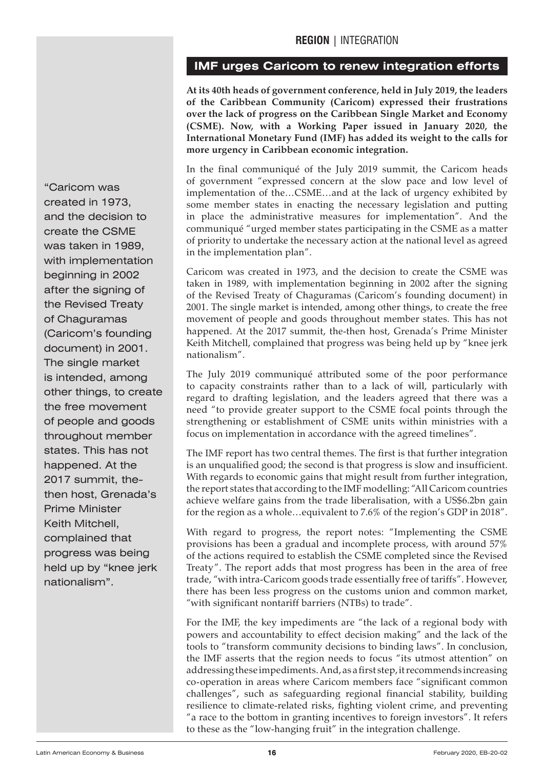## **IMF urges Caricom to renew integration efforts**

**At its 40th heads of government conference, held in July 2019, the leaders of the Caribbean Community (Caricom) expressed their frustrations over the lack of progress on the Caribbean Single Market and Economy (CSME). Now, with a Working Paper issued in January 2020, the International Monetary Fund (IMF) has added its weight to the calls for more urgency in Caribbean economic integration.**

In the final communiqué of the July 2019 summit, the Caricom heads of government "expressed concern at the slow pace and low level of implementation of the…CSME…and at the lack of urgency exhibited by some member states in enacting the necessary legislation and putting in place the administrative measures for implementation". And the communiqué "urged member states participating in the CSME as a matter of priority to undertake the necessary action at the national level as agreed in the implementation plan".

Caricom was created in 1973, and the decision to create the CSME was taken in 1989, with implementation beginning in 2002 after the signing of the Revised Treaty of Chaguramas (Caricom's founding document) in 2001. The single market is intended, among other things, to create the free movement of people and goods throughout member states. This has not happened. At the 2017 summit, the-then host, Grenada's Prime Minister Keith Mitchell, complained that progress was being held up by "knee jerk nationalism".

The July 2019 communiqué attributed some of the poor performance to capacity constraints rather than to a lack of will, particularly with regard to drafting legislation, and the leaders agreed that there was a need "to provide greater support to the CSME focal points through the strengthening or establishment of CSME units within ministries with a focus on implementation in accordance with the agreed timelines".

The IMF report has two central themes. The first is that further integration is an unqualified good; the second is that progress is slow and insufficient. With regards to economic gains that might result from further integration, the report states that according to the IMF modelling: "All Caricom countries achieve welfare gains from the trade liberalisation, with a US\$6.2bn gain for the region as a whole…equivalent to 7.6% of the region's GDP in 2018".

With regard to progress, the report notes: "Implementing the CSME provisions has been a gradual and incomplete process, with around 57% of the actions required to establish the CSME completed since the Revised Treaty". The report adds that most progress has been in the area of free trade, "with intra-Caricom goods trade essentially free of tariffs". However, there has been less progress on the customs union and common market, "with significant nontariff barriers (NTBs) to trade".

For the IMF, the key impediments are "the lack of a regional body with powers and accountability to effect decision making" and the lack of the tools to "transform community decisions to binding laws". In conclusion, the IMF asserts that the region needs to focus "its utmost attention" on addressing these impediments. And, as a first step, it recommends increasing co-operation in areas where Caricom members face "significant common challenges", such as safeguarding regional financial stability, building resilience to climate-related risks, fighting violent crime, and preventing "a race to the bottom in granting incentives to foreign investors". It refers to these as the "low-hanging fruit" in the integration challenge.

<span id="page-15-0"></span>**Mercosur** The single market is intended, among other things, to create the free movement "Caricom was created in 1973, and the decision to create the CSME was taken in 1989, with implementation beginning in 2002 after the signing of the Revised Treaty of Chaguramas (Caricom's founding document) in 2001. of people and goods throughout member states. This has not happened. At the 2017 summit, thethen host, Grenada's Prime Minister Keith Mitchell, complained that progress was being held up by "knee jerk nationalism".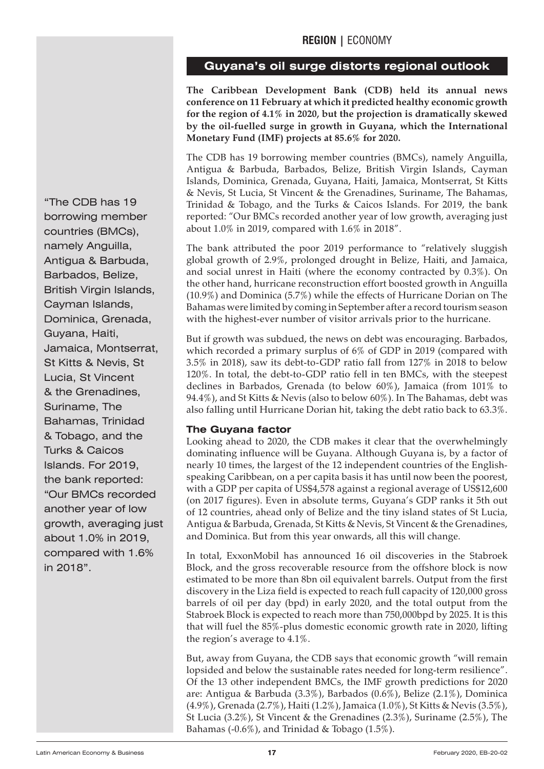## **Guyana's oil surge distorts regional outlook**

**The Caribbean Development Bank (CDB) held its annual news conference on 11 February at which it predicted healthy economic growth for the region of 4.1% in 2020, but the projection is dramatically skewed by the oil-fuelled surge in growth in Guyana, which the International Monetary Fund (IMF) projects at 85.6% for 2020.**

The CDB has 19 borrowing member countries (BMCs), namely Anguilla, Antigua & Barbuda, Barbados, Belize, British Virgin Islands, Cayman Islands, Dominica, Grenada, Guyana, Haiti, Jamaica, Montserrat, St Kitts & Nevis, St Lucia, St Vincent & the Grenadines, Suriname, The Bahamas, Trinidad & Tobago, and the Turks & Caicos Islands. For 2019, the bank reported: "Our BMCs recorded another year of low growth, averaging just about 1.0% in 2019, compared with 1.6% in 2018".

The bank attributed the poor 2019 performance to "relatively sluggish global growth of 2.9%, prolonged drought in Belize, Haiti, and Jamaica, and social unrest in Haiti (where the economy contracted by 0.3%). On the other hand, hurricane reconstruction effort boosted growth in Anguilla (10.9%) and Dominica (5.7%) while the effects of Hurricane Dorian on The Bahamas were limited by coming in September after a record tourism season with the highest-ever number of visitor arrivals prior to the hurricane.

But if growth was subdued, the news on debt was encouraging. Barbados, which recorded a primary surplus of 6% of GDP in 2019 (compared with 3.5% in 2018), saw its debt-to-GDP ratio fall from 127% in 2018 to below 120%. In total, the debt-to-GDP ratio fell in ten BMCs, with the steepest declines in Barbados, Grenada (to below 60%), Jamaica (from 101% to 94.4%), and St Kitts & Nevis (also to below 60%). In The Bahamas, debt was also falling until Hurricane Dorian hit, taking the debt ratio back to 63.3%.

## **The Guyana factor**

Looking ahead to 2020, the CDB makes it clear that the overwhelmingly dominating influence will be Guyana. Although Guyana is, by a factor of nearly 10 times, the largest of the 12 independent countries of the Englishspeaking Caribbean, on a per capita basis it has until now been the poorest, with a GDP per capita of US\$4,578 against a regional average of US\$12,600 (on 2017 figures). Even in absolute terms, Guyana's GDP ranks it 5th out of 12 countries, ahead only of Belize and the tiny island states of St Lucia, Antigua & Barbuda, Grenada, St Kitts & Nevis, St Vincent & the Grenadines, and Dominica. But from this year onwards, all this will change.

In total, ExxonMobil has announced 16 oil discoveries in the Stabroek Block, and the gross recoverable resource from the offshore block is now estimated to be more than 8bn oil equivalent barrels. Output from the first discovery in the Liza field is expected to reach full capacity of 120,000 gross barrels of oil per day (bpd) in early 2020, and the total output from the Stabroek Block is expected to reach more than 750,000bpd by 2025. It is this that will fuel the 85%-plus domestic economic growth rate in 2020, lifting the region's average to 4.1%.

But, away from Guyana, the CDB says that economic growth "will remain lopsided and below the sustainable rates needed for long-term resilience". Of the 13 other independent BMCs, the IMF growth predictions for 2020 are: Antigua & Barbuda (3.3%), Barbados (0.6%), Belize (2.1%), Dominica (4.9%), Grenada (2.7%), Haiti (1.2%), Jamaica (1.0%), St Kitts & Nevis (3.5%), St Lucia (3.2%), St Vincent & the Grenadines (2.3%), Suriname (2.5%), The Bahamas (-0.6%), and Trinidad & Tobago (1.5%).

<span id="page-16-0"></span>**Mercosur** St Kitts & Nevis, St Lucia, St Vincent & the Grenadines, Suriname, The "The CDB has 19 borrowing member countries (BMCs), namely Anguilla, Antigua & Barbuda, Barbados, Belize, British Virgin Islands, Cayman Islands, Dominica, Grenada, Guyana, Haiti, Jamaica, Montserrat, Bahamas, Trinidad & Tobago, and the Turks & Caicos Islands. For 2019, the bank reported: "Our BMCs recorded another year of low growth, averaging just about 1.0% in 2019, compared with 1.6% in 2018".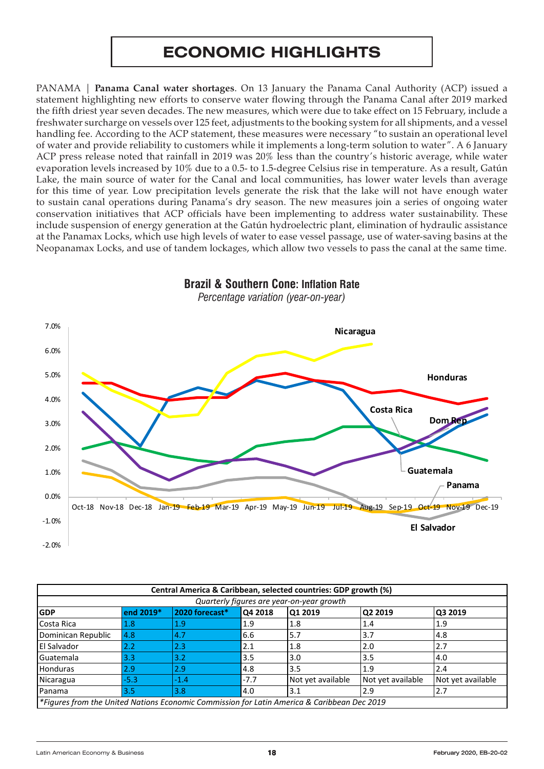# **ECONOMIC HIGHLIGHTS**

<span id="page-17-0"></span>PANAMA | **Panama Canal water shortages**. On 13 January the Panama Canal Authority (ACP) issued a statement highlighting new efforts to conserve water flowing through the Panama Canal after 2019 marked the fifth driest year seven decades. The new measures, which were due to take effect on 15 February, include a freshwater surcharge on vessels over 125 feet, adjustments to the booking system for all shipments, and a vessel handling fee. According to the ACP statement, these measures were necessary "to sustain an operational level of water and provide reliability to customers while it implements a long-term solution to water". A 6 January ACP press release noted that rainfall in 2019 was 20% less than the country's historic average, while water evaporation levels increased by 10% due to a 0.5- to 1.5-degree Celsius rise in temperature. As a result, Gatún Lake, the main source of water for the Canal and local communities, has lower water levels than average for this time of year. Low precipitation levels generate the risk that the lake will not have enough water to sustain canal operations during Panama's dry season. The new measures join a series of ongoing water conservation initiatives that ACP officials have been implementing to address water sustainability. These include suspension of energy generation at the Gatún hydroelectric plant, elimination of hydraulic assistance at the Panamax Locks, which use high levels of water to ease vessel passage, use of water-saving basins at the Neopanamax Locks, and use of tandem lockages, which allow two vessels to pass the canal at the same time.



| . Inflation Rate<br><b>Southern</b><br>Cone:<br>Braz<br>- 711 |
|---------------------------------------------------------------|
| Percentage variation<br>ı (vear-on-vear)                      |

|                                                                                             |                  |                |         | Central America & Caribbean, selected countries: GDP growth (%) |                   |                         |
|---------------------------------------------------------------------------------------------|------------------|----------------|---------|-----------------------------------------------------------------|-------------------|-------------------------|
|                                                                                             |                  |                |         | Quarterly figures are year-on-year growth                       |                   |                         |
| <b>GDP</b>                                                                                  | end 2019*        | 2020 forecast* | Q4 2018 | Q1 2019                                                         | Q2 2019           | Q3 2019                 |
| Costa Rica                                                                                  | 1.8              | 1.9            | 1.9     | 1.8                                                             | 1.4               | 1.9                     |
| Dominican Republic                                                                          | 4.8              | 4.7            | 6.6     | 5.7                                                             | 3.7               | 4.8                     |
| <b>El Salvador</b>                                                                          | $2.2\phantom{0}$ | 2.3            | 2.1     | 1.8                                                             | 2.0               | 2.7                     |
| Guatemala                                                                                   | 3.3              | 3.2            | 3.5     | 3.0                                                             | 3.5               | 4.0                     |
| <b>Honduras</b>                                                                             | 2.9              | 2.9            | 4.8     | 3.5                                                             | 1.9               | 2.4                     |
| Nicaragua                                                                                   | $-5.3$           | $-1.4$         | $-7.7$  | Not yet available                                               | Not yet available | Not yet available       |
| Panama                                                                                      | 3.5              | 3.8            | 4.0     | 3.1                                                             | 2.9               | 2.7                     |
| *Figures from the United Nations Economic Commission for Latin America & Caribbean Dec 2019 |                  |                |         |                                                                 |                   |                         |
|                                                                                             |                  |                |         |                                                                 |                   |                         |
|                                                                                             |                  |                |         |                                                                 |                   |                         |
|                                                                                             |                  |                |         |                                                                 |                   |                         |
| Latin American Economy & Business                                                           |                  |                | 18      |                                                                 |                   | February 2020, EB-20-02 |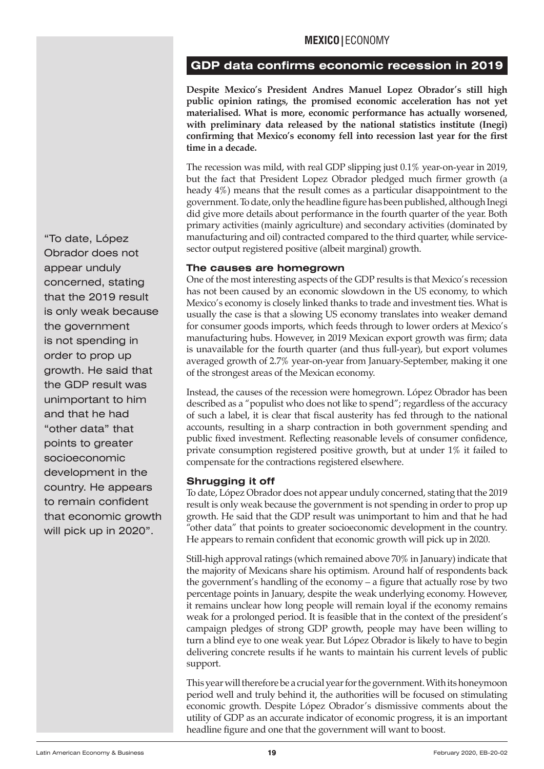## **MEXICO|**ECONOMY

## <span id="page-18-0"></span>**GDP data confirms economic recession in 2019**

**Despite Mexico's President Andres Manuel Lopez Obrador's still high public opinion ratings, the promised economic acceleration has not yet materialised. What is more, economic performance has actually worsened, with preliminary data released by the national statistics institute (Inegi) confirming that Mexico's economy fell into recession last year for the first time in a decade.**

The recession was mild, with real GDP slipping just 0.1% year-on-year in 2019, but the fact that President Lopez Obrador pledged much firmer growth (a heady 4%) means that the result comes as a particular disappointment to the government. To date, only the headline figure has been published, although Inegi did give more details about performance in the fourth quarter of the year. Both primary activities (mainly agriculture) and secondary activities (dominated by manufacturing and oil) contracted compared to the third quarter, while servicesector output registered positive (albeit marginal) growth.

#### **The causes are homegrown**

One of the most interesting aspects of the GDP results is that Mexico's recession has not been caused by an economic slowdown in the US economy, to which Mexico's economy is closely linked thanks to trade and investment ties. What is usually the case is that a slowing US economy translates into weaker demand for consumer goods imports, which feeds through to lower orders at Mexico's manufacturing hubs. However, in 2019 Mexican export growth was firm; data is unavailable for the fourth quarter (and thus full-year), but export volumes averaged growth of 2.7% year-on-year from January-September, making it one of the strongest areas of the Mexican economy.

Instead, the causes of the recession were homegrown. López Obrador has been described as a "populist who does not like to spend"; regardless of the accuracy of such a label, it is clear that fiscal austerity has fed through to the national accounts, resulting in a sharp contraction in both government spending and public fixed investment. Reflecting reasonable levels of consumer confidence, private consumption registered positive growth, but at under 1% it failed to compensate for the contractions registered elsewhere.

#### **Shrugging it off**

To date, López Obrador does not appear unduly concerned, stating that the 2019 result is only weak because the government is not spending in order to prop up growth. He said that the GDP result was unimportant to him and that he had "other data" that points to greater socioeconomic development in the country. He appears to remain confident that economic growth will pick up in 2020.

Still-high approval ratings (which remained above 70% in January) indicate that the majority of Mexicans share his optimism. Around half of respondents back the government's handling of the economy – a figure that actually rose by two percentage points in January, despite the weak underlying economy. However, it remains unclear how long people will remain loyal if the economy remains weak for a prolonged period. It is feasible that in the context of the president's campaign pledges of strong GDP growth, people may have been willing to turn a blind eye to one weak year. But López Obrador is likely to have to begin delivering concrete results if he wants to maintain his current levels of public support.

This year will therefore be a crucial year for the government. With its honeymoon period well and truly behind it, the authorities will be focused on stimulating economic growth. Despite López Obrador's dismissive comments about the utility of GDP as an accurate indicator of economic progress, it is an important headline figure and one that the government will want to boost.

**growth.** He said that the GDP result was unimportant to him and that he had "To date, López Obrador does not appear unduly concerned, stating that the 2019 result is only weak because the government is not spending in order to prop up "other data" that points to greater socioeconomic development in the country. He appears to remain confident that economic growth will pick up in 2020".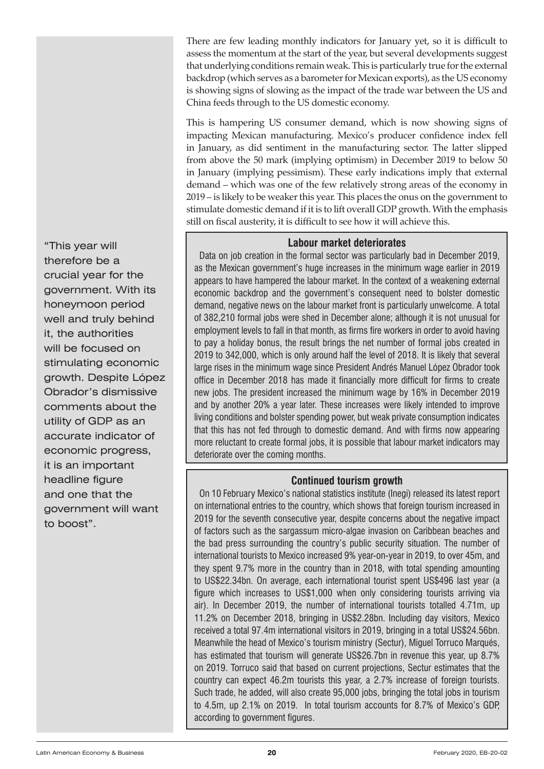There are few leading monthly indicators for January yet, so it is difficult to assess the momentum at the start of the year, but several developments suggest that underlying conditions remain weak. This is particularly true for the external backdrop (which serves as a barometer for Mexican exports), as the US economy is showing signs of slowing as the impact of the trade war between the US and China feeds through to the US domestic economy.

This is hampering US consumer demand, which is now showing signs of impacting Mexican manufacturing. Mexico's producer confidence index fell in January, as did sentiment in the manufacturing sector. The latter slipped from above the 50 mark (implying optimism) in December 2019 to below 50 in January (implying pessimism). These early indications imply that external demand – which was one of the few relatively strong areas of the economy in 2019 – is likely to be weaker this year. This places the onus on the government to stimulate domestic demand if it is to lift overall GDP growth. With the emphasis still on fiscal austerity, it is difficult to see how it will achieve this.

#### **Labour market deteriorates**

Data on job creation in the formal sector was particularly bad in December 2019. as the Mexican government's huge increases in the minimum wage earlier in 2019 appears to have hampered the labour market. In the context of a weakening external economic backdrop and the government's consequent need to bolster domestic demand, negative news on the labour market front is particularly unwelcome. A total of 382,210 formal jobs were shed in December alone; although it is not unusual for employment levels to fall in that month, as firms fire workers in order to avoid having to pay a holiday bonus, the result brings the net number of formal jobs created in 2019 to 342,000, which is only around half the level of 2018. It is likely that several large rises in the minimum wage since President Andrés Manuel López Obrador took office in December 2018 has made it financially more difficult for firms to create new jobs. The president increased the minimum wage by 16% in December 2019 and by another 20% a year later. These increases were likely intended to improve living conditions and bolster spending power, but weak private consumption indicates that this has not fed through to domestic demand. And with firms now appearing more reluctant to create formal jobs, it is possible that labour market indicators may deteriorate over the coming months.

#### **Continued tourism growth**

On 10 February Mexico's national statistics institute (Inegi) released its latest report on international entries to the country, which shows that foreign tourism increased in 2019 for the seventh consecutive year, despite concerns about the negative impact of factors such as the sargassum micro-algae invasion on Caribbean beaches and the bad press surrounding the country's public security situation. The number of international tourists to Mexico increased 9% year-on-year in 2019, to over 45m, and they spent 9.7% more in the country than in 2018, with total spending amounting to US\$22.34bn. On average, each international tourist spent US\$496 last year (a figure which increases to US\$1,000 when only considering tourists arriving via air). In December 2019, the number of international tourists totalled 4.71m, up 11.2% on December 2018, bringing in US\$2.28bn. Including day visitors, Mexico received a total 97.4m international visitors in 2019, bringing in a total US\$24.56bn. Meanwhile the head of Mexico's tourism ministry (Sectur), Miguel Torruco Marqués, has estimated that tourism will generate US\$26.7bn in revenue this year, up 8.7% on 2019. Torruco said that based on current projections, Sectur estimates that the country can expect 46.2m tourists this year, a 2.7% increase of foreign tourists. Such trade, he added, will also create 95,000 jobs, bringing the total jobs in tourism to 4.5m, up 2.1% on 2019. In total tourism accounts for 8.7% of Mexico's GDP, according to government figures.

stimulating economic growth. Despite López<br>. Obrador's dismissive comments about the "This year will therefore be a crucial year for the government. With its honeymoon period well and truly behind it, the authorities will be focused on utility of GDP as an accurate indicator of economic progress, it is an important headline figure and one that the government will want to boost".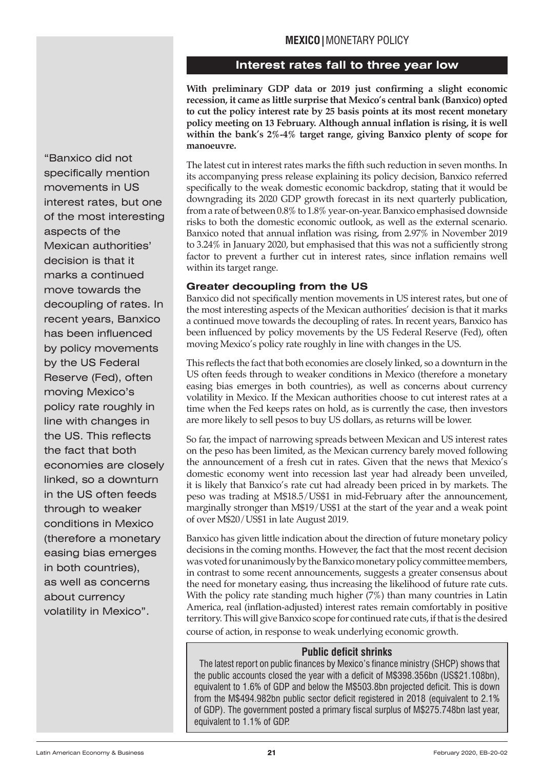## **Interest rates fall to three year low**

**With preliminary GDP data or 2019 just confirming a slight economic recession, it came as little surprise that Mexico's central bank (Banxico) opted to cut the policy interest rate by 25 basis points at its most recent monetary policy meeting on 13 February. Although annual inflation is rising, it is well within the bank's 2%-4% target range, giving Banxico plenty of scope for manoeuvre.**

The latest cut in interest rates marks the fifth such reduction in seven months. In its accompanying press release explaining its policy decision, Banxico referred specifically to the weak domestic economic backdrop, stating that it would be downgrading its 2020 GDP growth forecast in its next quarterly publication, from a rate of between 0.8% to 1.8% year-on-year. Banxico emphasised downside risks to both the domestic economic outlook, as well as the external scenario. Banxico noted that annual inflation was rising, from 2.97% in November 2019 to 3.24% in January 2020, but emphasised that this was not a sufficiently strong factor to prevent a further cut in interest rates, since inflation remains well within its target range.

## **Greater decoupling from the US**

Banxico did not specifically mention movements in US interest rates, but one of the most interesting aspects of the Mexican authorities' decision is that it marks a continued move towards the decoupling of rates. In recent years, Banxico has been influenced by policy movements by the US Federal Reserve (Fed), often moving Mexico's policy rate roughly in line with changes in the US.

This reflects the fact that both economies are closely linked, so a downturn in the US often feeds through to weaker conditions in Mexico (therefore a monetary easing bias emerges in both countries), as well as concerns about currency volatility in Mexico. If the Mexican authorities choose to cut interest rates at a time when the Fed keeps rates on hold, as is currently the case, then investors are more likely to sell pesos to buy US dollars, as returns will be lower.

So far, the impact of narrowing spreads between Mexican and US interest rates on the peso has been limited, as the Mexican currency barely moved following the announcement of a fresh cut in rates. Given that the news that Mexico's domestic economy went into recession last year had already been unveiled, it is likely that Banxico's rate cut had already been priced in by markets. The peso was trading at M\$18.5/US\$1 in mid-February after the announcement, marginally stronger than M\$19/US\$1 at the start of the year and a weak point of over M\$20/US\$1 in late August 2019.

Banxico has given little indication about the direction of future monetary policy decisions in the coming months. However, the fact that the most recent decision was voted for unanimously by the Banxico monetary policy committee members, in contrast to some recent announcements, suggests a greater consensus about the need for monetary easing, thus increasing the likelihood of future rate cuts. With the policy rate standing much higher (7%) than many countries in Latin America, real (inflation-adjusted) interest rates remain comfortably in positive territory. This will give Banxico scope for continued rate cuts, if that is the desired course of action, in response to weak underlying economic growth.

#### **Public deficit shrinks**

The latest report on public finances by Mexico's finance ministry (SHCP) shows that the public accounts closed the year with a deficit of M\$398.356bn (US\$21.108bn), equivalent to 1.6% of GDP and below the M\$503.8bn projected deficit. This is down from the M\$494.982bn public sector deficit registered in 2018 (equivalent to 2.1% of GDP). The government posted a primary fiscal surplus of M\$275.748bn last year, equivalent to 1.1% of GDP.

by the US Federal Reserve (Fed), often moving Mexico's<br>... policy rate roughly in<br>... "Banxico did not specifically mention movements in US interest rates, but one of the most interesting aspects of the Mexican authorities' decision is that it marks a continued move towards the decoupling of rates. In recent years, Banxico has been influenced by policy movements line with changes in the US. This reflects the fact that both economies are closely linked, so a downturn in the US often feeds through to weaker conditions in Mexico (therefore a monetary easing bias emerges in both countries), as well as concerns about currency volatility in Mexico".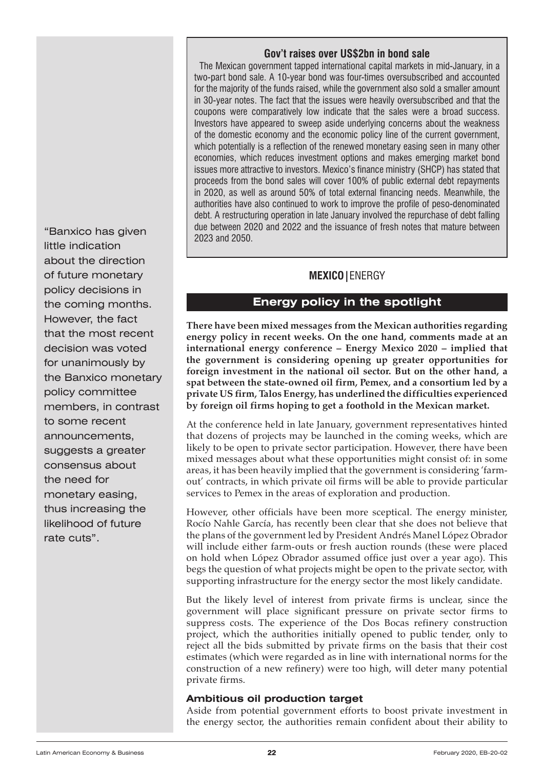#### **Gov't raises over US\$2bn in bond sale**

The Mexican government tapped international capital markets in mid-January, in a two-part bond sale. A 10-year bond was four-times oversubscribed and accounted for the majority of the funds raised, while the government also sold a smaller amount in 30-year notes. The fact that the issues were heavily oversubscribed and that the coupons were comparatively low indicate that the sales were a broad success. Investors have appeared to sweep aside underlying concerns about the weakness of the domestic economy and the economic policy line of the current government, which potentially is a reflection of the renewed monetary easing seen in many other economies, which reduces investment options and makes emerging market bond issues more attractive to investors. Mexico's finance ministry (SHCP) has stated that proceeds from the bond sales will cover 100% of public external debt repayments in 2020, as well as around 50% of total external financing needs. Meanwhile, the authorities have also continued to work to improve the profile of peso-denominated debt. A restructuring operation in late January involved the repurchase of debt falling due between 2020 and 2022 and the issuance of fresh notes that mature between 2023 and 2050.

## **MEXICO|**ENERGY

## **Energy policy in the spotlight**

**There have been mixed messages from the Mexican authorities regarding energy policy in recent weeks. On the one hand, comments made at an international energy conference – Energy Mexico 2020 – implied that the government is considering opening up greater opportunities for foreign investment in the national oil sector. But on the other hand, a spat between the state-owned oil firm, Pemex, and a consortium led by a private US firm, Talos Energy, has underlined the difficulties experienced by foreign oil firms hoping to get a foothold in the Mexican market.**

At the conference held in late January, government representatives hinted that dozens of projects may be launched in the coming weeks, which are likely to be open to private sector participation. However, there have been mixed messages about what these opportunities might consist of: in some areas, it has been heavily implied that the government is considering 'farmout' contracts, in which private oil firms will be able to provide particular services to Pemex in the areas of exploration and production.

However, other officials have been more sceptical. The energy minister, Rocío Nahle García, has recently been clear that she does not believe that the plans of the government led by President Andrés Manel López Obrador will include either farm-outs or fresh auction rounds (these were placed on hold when López Obrador assumed office just over a year ago). This begs the question of what projects might be open to the private sector, with supporting infrastructure for the energy sector the most likely candidate.

But the likely level of interest from private firms is unclear, since the government will place significant pressure on private sector firms to suppress costs. The experience of the Dos Bocas refinery construction project, which the authorities initially opened to public tender, only to reject all the bids submitted by private firms on the basis that their cost estimates (which were regarded as in line with international norms for the construction of a new refinery) were too high, will deter many potential private firms.

#### **Ambitious oil production target**

Aside from potential government efforts to boost private investment in the energy sector, the authorities remain confident about their ability to

for unanimously by the Banxico monetary policy committee members, in contrast "Banxico has given little indication about the direction of future monetary policy decisions in the coming months. However, the fact that the most recent decision was voted to some recent announcements, suggests a greater consensus about the need for monetary easing, thus increasing the likelihood of future rate cuts".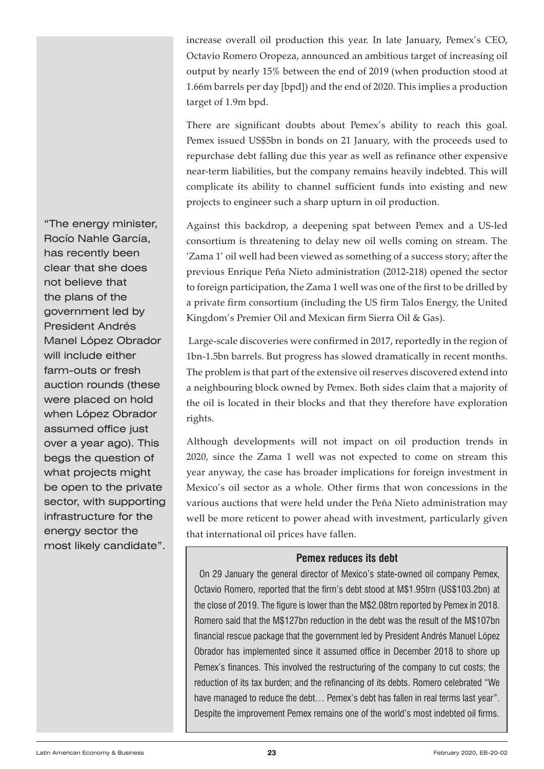increase overall oil production this year. In late January, Pemex's CEO, Octavio Romero Oropeza, announced an ambitious target of increasing oil output by nearly 15% between the end of 2019 (when production stood at 1.66m barrels per day [bpd]) and the end of 2020. This implies a production target of 1.9m bpd.

There are significant doubts about Pemex's ability to reach this goal. Pemex issued US\$5bn in bonds on 21 January, with the proceeds used to repurchase debt falling due this year as well as refinance other expensive near-term liabilities, but the company remains heavily indebted. This will complicate its ability to channel sufficient funds into existing and new projects to engineer such a sharp upturn in oil production.

Against this backdrop, a deepening spat between Pemex and a US-led consortium is threatening to delay new oil wells coming on stream. The 'Zama 1' oil well had been viewed as something of a success story; after the previous Enrique Peña Nieto administration (2012-218) opened the sector to foreign participation, the Zama 1 well was one of the first to be drilled by a private firm consortium (including the US firm Talos Energy, the United Kingdom's Premier Oil and Mexican firm Sierra Oil & Gas).

 Large-scale discoveries were confirmed in 2017, reportedly in the region of 1bn-1.5bn barrels. But progress has slowed dramatically in recent months. The problem is that part of the extensive oil reserves discovered extend into a neighbouring block owned by Pemex. Both sides claim that a majority of the oil is located in their blocks and that they therefore have exploration rights.

Although developments will not impact on oil production trends in 2020, since the Zama 1 well was not expected to come on stream this year anyway, the case has broader implications for foreign investment in Mexico's oil sector as a whole. Other firms that won concessions in the various auctions that were held under the Peña Nieto administration may well be more reticent to power ahead with investment, particularly given that international oil prices have fallen.

## **Pemex reduces its debt**

On 29 January the general director of Mexico's state-owned oil company Pemex, Octavio Romero, reported that the firm's debt stood at M\$1.95trn (US\$103.2bn) at the close of 2019. The figure is lower than the M\$2.08trn reported by Pemex in 2018. Romero said that the M\$127bn reduction in the debt was the result of the M\$107bn financial rescue package that the government led by President Andrés Manuel López Obrador has implemented since it assumed office in December 2018 to shore up Pemex's finances. This involved the restructuring of the company to cut costs; the reduction of its tax burden; and the refinancing of its debts. Romero celebrated "We have managed to reduce the debt... Pemex's debt has fallen in real terms last year". Despite the improvement Pemex remains one of the world's most indebted oil firms.

**MACONDER**<br>farm-outs or fresh auction rounds (these were placed on hold when López Obrador "The energy minister, Rocío Nahle García, has recently been clear that she does not believe that the plans of the government led by President Andrés Manel López Obrador will include either assumed office just over a year ago). This begs the question of what projects might be open to the private sector, with supporting infrastructure for the energy sector the most likely candidate".